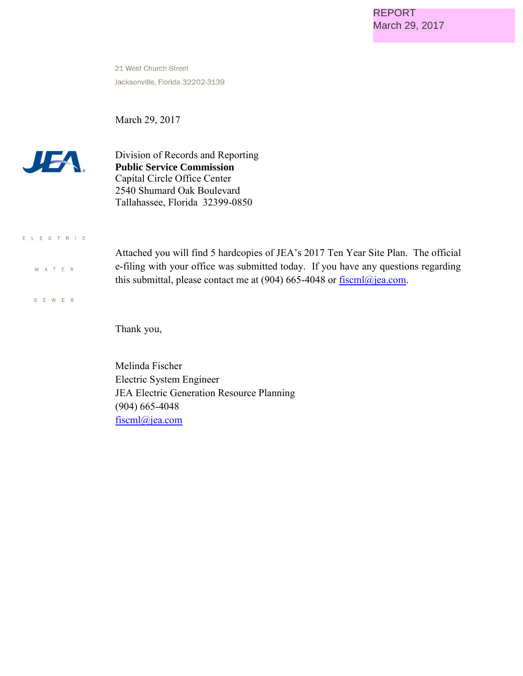21 West Church Street Jacksonville, Florida 32202-3139

March 29, 2017



Division of Records and Reporting **Public Service Commission**  Capital Circle Office Center 2540 Shumard Oak Boulevard Tallahassee, Florida 32399-0850

# E L E C T R I C W A T E R

S E W E R

Attached you will find 5 hardcopies of JEA's 2017 Ten Year Site Plan. The official e-filing with your office was submitted today. If you have any questions regarding this submittal, please contact me at (904) 665-4048 or **fiscml**@jea.com.

Thank you,

Melinda Fischer Electric System Engineer JEA Electric Generation Resource Planning (904) 665-4048 [fiscml@jea.com](mailto:fiscml@jea.com)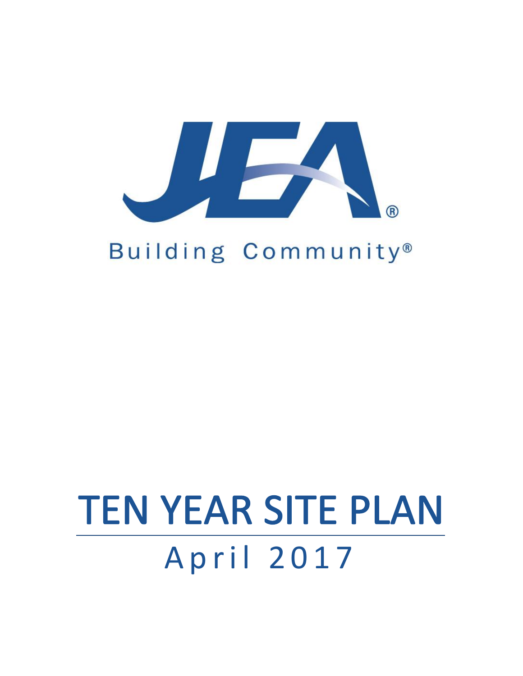

# Building Community®

# April 2017 TEN YEAR SITE PLAN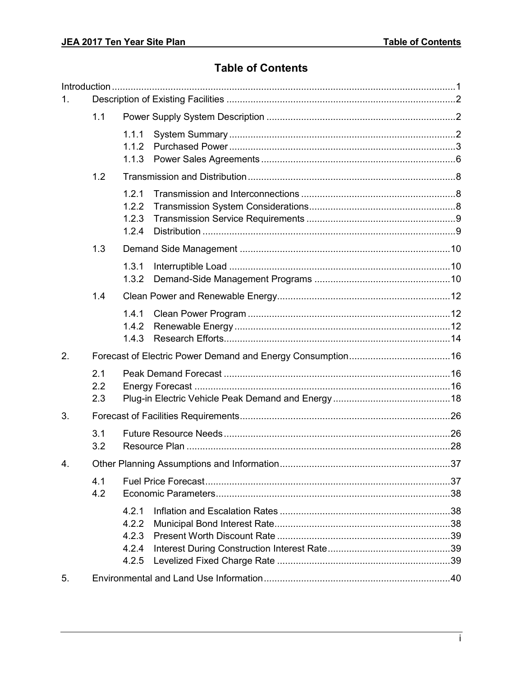#### **Table of Contents**

| 1. |                   |                                           |  |  |  |  |  |  |
|----|-------------------|-------------------------------------------|--|--|--|--|--|--|
|    | 1.1               |                                           |  |  |  |  |  |  |
|    |                   | 1.1.1<br>1.1.2<br>1.1.3                   |  |  |  |  |  |  |
|    | 1.2               |                                           |  |  |  |  |  |  |
|    |                   | 1.2.1<br>1.2.2<br>1.2.3<br>1.2.4          |  |  |  |  |  |  |
|    | 1.3               |                                           |  |  |  |  |  |  |
|    |                   | 1.3.1<br>1.3.2                            |  |  |  |  |  |  |
|    | 1.4               |                                           |  |  |  |  |  |  |
|    |                   | 1.4.1<br>1.4.2<br>1.4.3                   |  |  |  |  |  |  |
| 2. |                   |                                           |  |  |  |  |  |  |
|    | 2.1<br>2.2<br>2.3 |                                           |  |  |  |  |  |  |
| 3. |                   |                                           |  |  |  |  |  |  |
|    | 3.1<br>3.2        |                                           |  |  |  |  |  |  |
| 4. |                   |                                           |  |  |  |  |  |  |
|    | 4.1<br>4.2        |                                           |  |  |  |  |  |  |
|    |                   | 4.2.1<br>4.2.2<br>4.2.3<br>4.2.4<br>4.2.5 |  |  |  |  |  |  |
| 5. |                   |                                           |  |  |  |  |  |  |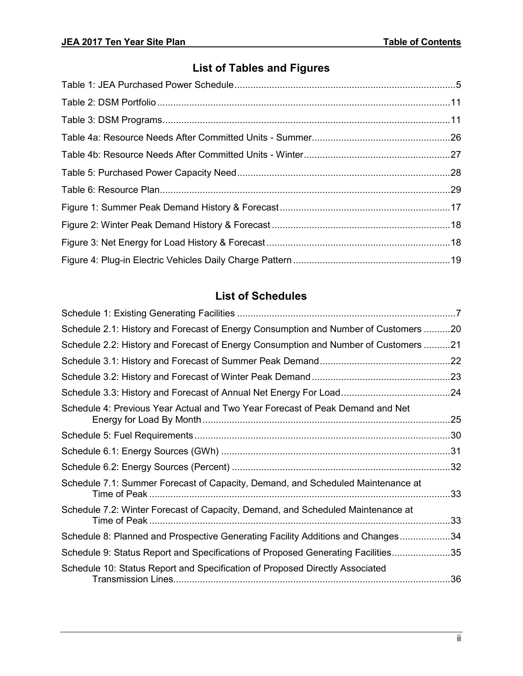# **List of Tables and Figures**

## **List of Schedules**

| Schedule 2.1: History and Forecast of Energy Consumption and Number of Customers 20 |     |
|-------------------------------------------------------------------------------------|-----|
| Schedule 2.2: History and Forecast of Energy Consumption and Number of Customers 21 |     |
|                                                                                     |     |
|                                                                                     |     |
|                                                                                     |     |
| Schedule 4: Previous Year Actual and Two Year Forecast of Peak Demand and Net       |     |
|                                                                                     |     |
|                                                                                     |     |
|                                                                                     |     |
| Schedule 7.1: Summer Forecast of Capacity, Demand, and Scheduled Maintenance at     | .33 |
| Schedule 7.2: Winter Forecast of Capacity, Demand, and Scheduled Maintenance at     |     |
| Schedule 8: Planned and Prospective Generating Facility Additions and Changes34     |     |
| Schedule 9: Status Report and Specifications of Proposed Generating Facilities35    |     |
| Schedule 10: Status Report and Specification of Proposed Directly Associated        |     |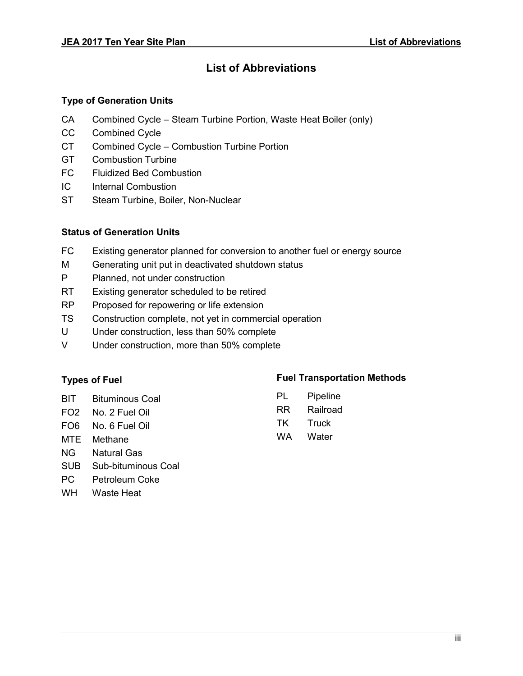#### **List of Abbreviations**

#### **Type of Generation Units**

- CA Combined Cycle Steam Turbine Portion, Waste Heat Boiler (only)
- CC Combined Cycle
- CT Combined Cycle Combustion Turbine Portion
- GT Combustion Turbine
- FC Fluidized Bed Combustion
- IC Internal Combustion
- ST Steam Turbine, Boiler, Non-Nuclear

#### **Status of Generation Units**

- FC Existing generator planned for conversion to another fuel or energy source
- M Generating unit put in deactivated shutdown status
- P Planned, not under construction
- RT Existing generator scheduled to be retired
- RP Proposed for repowering or life extension
- TS Construction complete, not yet in commercial operation
- U Under construction, less than 50% complete
- V Under construction, more than 50% complete

#### **Types of Fuel**

- BIT Bituminous Coal
- FO2 No. 2 Fuel Oil
- FO6 No. 6 Fuel Oil
- MTE Methane
- NG Natural Gas
- SUB Sub-bituminous Coal
- PC Petroleum Coke
- WH Waste Heat

#### **Fuel Transportation Methods**

PL Pipeline RR Railroad TK Truck WA Water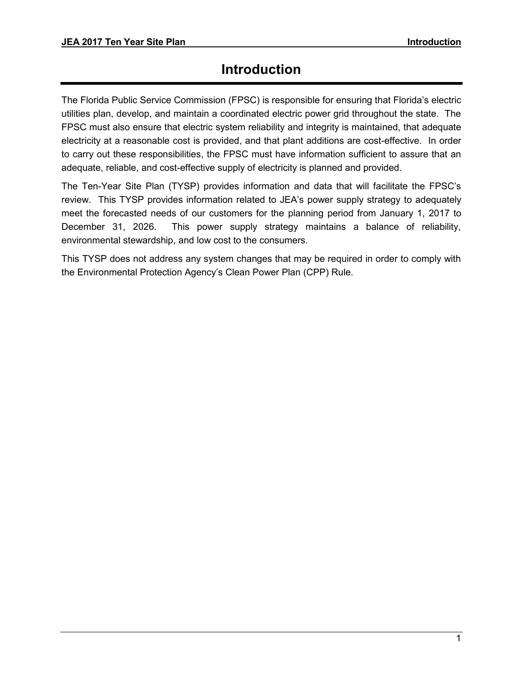# **Introduction**

<span id="page-5-0"></span>The Florida Public Service Commission (FPSC) is responsible for ensuring that Florida's electric utilities plan, develop, and maintain a coordinated electric power grid throughout the state. The FPSC must also ensure that electric system reliability and integrity is maintained, that adequate electricity at a reasonable cost is provided, and that plant additions are cost-effective. In order to carry out these responsibilities, the FPSC must have information sufficient to assure that an adequate, reliable, and cost-effective supply of electricity is planned and provided.

The Ten-Year Site Plan (TYSP) provides information and data that will facilitate the FPSC's review. This TYSP provides information related to JEA's power supply strategy to adequately meet the forecasted needs of our customers for the planning period from January 1, 2017 to December 31, 2026. This power supply strategy maintains a balance of reliability, environmental stewardship, and low cost to the consumers.

This TYSP does not address any system changes that may be required in order to comply with the Environmental Protection Agency's Clean Power Plan (CPP) Rule.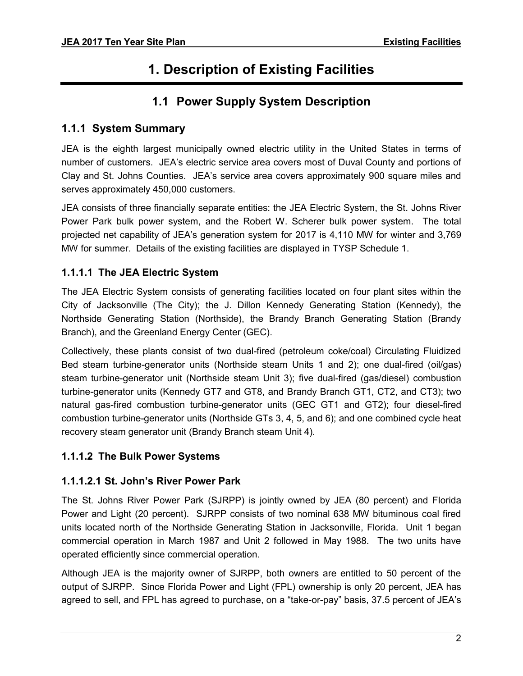# **1. Description of Existing Facilities**

## **1.1 Power Supply System Description**

#### <span id="page-6-2"></span><span id="page-6-1"></span><span id="page-6-0"></span>**1.1.1 System Summary**

JEA is the eighth largest municipally owned electric utility in the United States in terms of number of customers. JEA's electric service area covers most of Duval County and portions of Clay and St. Johns Counties. JEA's service area covers approximately 900 square miles and serves approximately 450,000 customers.

JEA consists of three financially separate entities: the JEA Electric System, the St. Johns River Power Park bulk power system, and the Robert W. Scherer bulk power system. The total projected net capability of JEA's generation system for 2017 is 4,110 MW for winter and 3,769 MW for summer. Details of the existing facilities are displayed in TYSP Schedule 1.

#### **1.1.1.1 The JEA Electric System**

The JEA Electric System consists of generating facilities located on four plant sites within the City of Jacksonville (The City); the J. Dillon Kennedy Generating Station (Kennedy), the Northside Generating Station (Northside), the Brandy Branch Generating Station (Brandy Branch), and the Greenland Energy Center (GEC).

Collectively, these plants consist of two dual-fired (petroleum coke/coal) Circulating Fluidized Bed steam turbine-generator units (Northside steam Units 1 and 2); one dual-fired (oil/gas) steam turbine-generator unit (Northside steam Unit 3); five dual-fired (gas/diesel) combustion turbine-generator units (Kennedy GT7 and GT8, and Brandy Branch GT1, CT2, and CT3); two natural gas-fired combustion turbine-generator units (GEC GT1 and GT2); four diesel-fired combustion turbine-generator units (Northside GTs 3, 4, 5, and 6); and one combined cycle heat recovery steam generator unit (Brandy Branch steam Unit 4).

#### **1.1.1.2 The Bulk Power Systems**

#### **1.1.1.2.1 St. John's River Power Park**

The St. Johns River Power Park (SJRPP) is jointly owned by JEA (80 percent) and Florida Power and Light (20 percent). SJRPP consists of two nominal 638 MW bituminous coal fired units located north of the Northside Generating Station in Jacksonville, Florida. Unit 1 began commercial operation in March 1987 and Unit 2 followed in May 1988. The two units have operated efficiently since commercial operation.

Although JEA is the majority owner of SJRPP, both owners are entitled to 50 percent of the output of SJRPP. Since Florida Power and Light (FPL) ownership is only 20 percent, JEA has agreed to sell, and FPL has agreed to purchase, on a "take-or-pay" basis, 37.5 percent of JEA's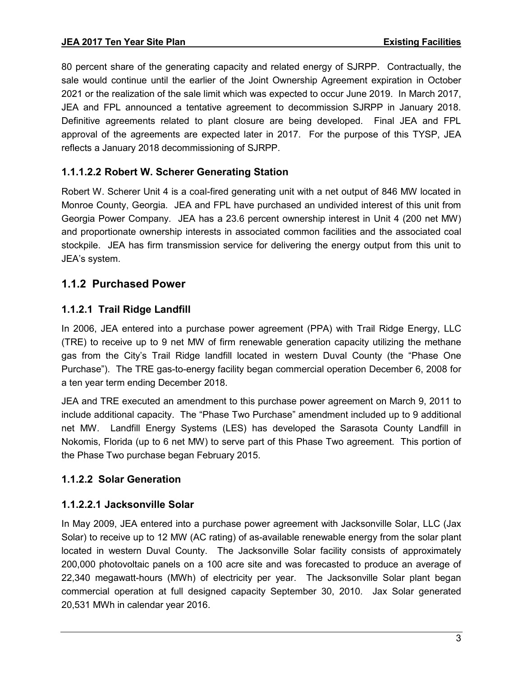80 percent share of the generating capacity and related energy of SJRPP. Contractually, the sale would continue until the earlier of the Joint Ownership Agreement expiration in October 2021 or the realization of the sale limit which was expected to occur June 2019. In March 2017, JEA and FPL announced a tentative agreement to decommission SJRPP in January 2018. Definitive agreements related to plant closure are being developed. Final JEA and FPL approval of the agreements are expected later in 2017. For the purpose of this TYSP, JEA reflects a January 2018 decommissioning of SJRPP.

#### **1.1.1.2.2 Robert W. Scherer Generating Station**

Robert W. Scherer Unit 4 is a coal-fired generating unit with a net output of 846 MW located in Monroe County, Georgia. JEA and FPL have purchased an undivided interest of this unit from Georgia Power Company. JEA has a 23.6 percent ownership interest in Unit 4 (200 net MW) and proportionate ownership interests in associated common facilities and the associated coal stockpile. JEA has firm transmission service for delivering the energy output from this unit to JEA's system.

#### <span id="page-7-0"></span>**1.1.2 Purchased Power**

#### **1.1.2.1 Trail Ridge Landfill**

In 2006, JEA entered into a purchase power agreement (PPA) with Trail Ridge Energy, LLC (TRE) to receive up to 9 net MW of firm renewable generation capacity utilizing the methane gas from the City's Trail Ridge landfill located in western Duval County (the "Phase One Purchase"). The TRE gas-to-energy facility began commercial operation December 6, 2008 for a ten year term ending December 2018.

JEA and TRE executed an amendment to this purchase power agreement on March 9, 2011 to include additional capacity. The "Phase Two Purchase" amendment included up to 9 additional net MW. Landfill Energy Systems (LES) has developed the Sarasota County Landfill in Nokomis, Florida (up to 6 net MW) to serve part of this Phase Two agreement. This portion of the Phase Two purchase began February 2015.

#### **1.1.2.2 Solar Generation**

#### **1.1.2.2.1 Jacksonville Solar**

In May 2009, JEA entered into a purchase power agreement with Jacksonville Solar, LLC (Jax Solar) to receive up to 12 MW (AC rating) of as-available renewable energy from the solar plant located in western Duval County. The Jacksonville Solar facility consists of approximately 200,000 photovoltaic panels on a 100 acre site and was forecasted to produce an average of 22,340 megawatt-hours (MWh) of electricity per year. The Jacksonville Solar plant began commercial operation at full designed capacity September 30, 2010. Jax Solar generated 20,531 MWh in calendar year 2016.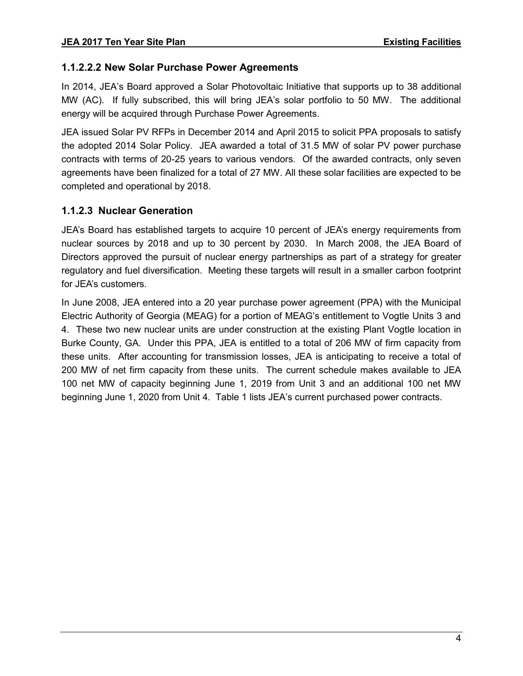#### **1.1.2.2.2 New Solar Purchase Power Agreements**

In 2014, JEA's Board approved a Solar Photovoltaic Initiative that supports up to 38 additional MW (AC). If fully subscribed, this will bring JEA's solar portfolio to 50 MW. The additional energy will be acquired through Purchase Power Agreements.

JEA issued Solar PV RFPs in December 2014 and April 2015 to solicit PPA proposals to satisfy the adopted 2014 Solar Policy. JEA awarded a total of 31.5 MW of solar PV power purchase contracts with terms of 20-25 years to various vendors. Of the awarded contracts, only seven agreements have been finalized for a total of 27 MW. All these solar facilities are expected to be completed and operational by 2018.

#### **1.1.2.3 Nuclear Generation**

JEA's Board has established targets to acquire 10 percent of JEA's energy requirements from nuclear sources by 2018 and up to 30 percent by 2030. In March 2008, the JEA Board of Directors approved the pursuit of nuclear energy partnerships as part of a strategy for greater regulatory and fuel diversification. Meeting these targets will result in a smaller carbon footprint for JEA's customers.

In June 2008, JEA entered into a 20 year purchase power agreement (PPA) with the Municipal Electric Authority of Georgia (MEAG) for a portion of MEAG's entitlement to Vogtle Units 3 and 4. These two new nuclear units are under construction at the existing Plant Vogtle location in Burke County, GA. Under this PPA, JEA is entitled to a total of 206 MW of firm capacity from these units. After accounting for transmission losses, JEA is anticipating to receive a total of 200 MW of net firm capacity from these units. The current schedule makes available to JEA 100 net MW of capacity beginning June 1, 2019 from Unit 3 and an additional 100 net MW beginning June 1, 2020 from Unit 4. Table 1 lists JEA's current purchased power contracts.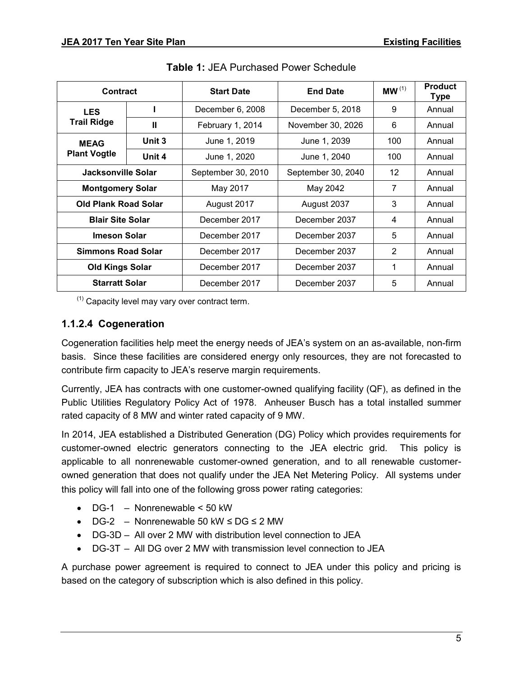| <b>Contract</b>             |        | <b>Start Date</b>              | <b>End Date</b>    | MW <sup>(1)</sup> | <b>Product</b><br><b>Type</b> |
|-----------------------------|--------|--------------------------------|--------------------|-------------------|-------------------------------|
| <b>LES</b>                  |        | December 6, 2008               | December 5, 2018   | 9                 | Annual                        |
| <b>Trail Ridge</b>          | Ш      | February 1, 2014               | November 30, 2026  | 6                 | Annual                        |
| <b>MEAG</b>                 | Unit 3 | June 1, 2019                   | June 1, 2039       | 100               | Annual                        |
| <b>Plant Vogtle</b>         | Unit 4 | June 1, 2020                   | June 1, 2040       | 100               | Annual                        |
| Jacksonville Solar          |        | September 30, 2010             | September 30, 2040 | 12                | Annual                        |
| <b>Montgomery Solar</b>     |        | May 2017                       | May 2042           | 7                 | Annual                        |
| <b>Old Plank Road Solar</b> |        | August 2017                    | August 2037        | 3                 | Annual                        |
| <b>Blair Site Solar</b>     |        | December 2017<br>December 2037 |                    | 4                 | Annual                        |
| <b>Imeson Solar</b>         |        | December 2017                  | December 2037      | 5                 | Annual                        |
| <b>Simmons Road Solar</b>   |        | December 2017                  | December 2037      | 2                 | Annual                        |
| <b>Old Kings Solar</b>      |        | December 2017                  | December 2037      | 1                 | Annual                        |
| <b>Starratt Solar</b>       |        | December 2017                  | December 2037      | 5                 | Annual                        |

**Table 1:** JEA Purchased Power Schedule

 $(1)$  Capacity level may vary over contract term.

#### **1.1.2.4 Cogeneration**

Cogeneration facilities help meet the energy needs of JEA's system on an as-available, non-firm basis. Since these facilities are considered energy only resources, they are not forecasted to contribute firm capacity to JEA's reserve margin requirements.

Currently, JEA has contracts with one customer-owned qualifying facility (QF), as defined in the Public Utilities Regulatory Policy Act of 1978. Anheuser Busch has a total installed summer rated capacity of 8 MW and winter rated capacity of 9 MW.

In 2014, JEA established a Distributed Generation (DG) Policy which provides requirements for customer-owned electric generators connecting to the JEA electric grid. This policy is applicable to all nonrenewable customer-owned generation, and to all renewable customerowned generation that does not qualify under the JEA Net Metering Policy. All systems under this policy will fall into one of the following gross power rating categories:

- $\bullet$  DG-1 Nonrenewable < 50 kW
- $\bullet$  DG-2 Nonrenewable 50 kW  $\leq$  DG  $\leq$  2 MW
- DG-3D All over 2 MW with distribution level connection to JEA
- DG-3T All DG over 2 MW with transmission level connection to JEA

A purchase power agreement is required to connect to JEA under this policy and pricing is based on the category of subscription which is also defined in this policy.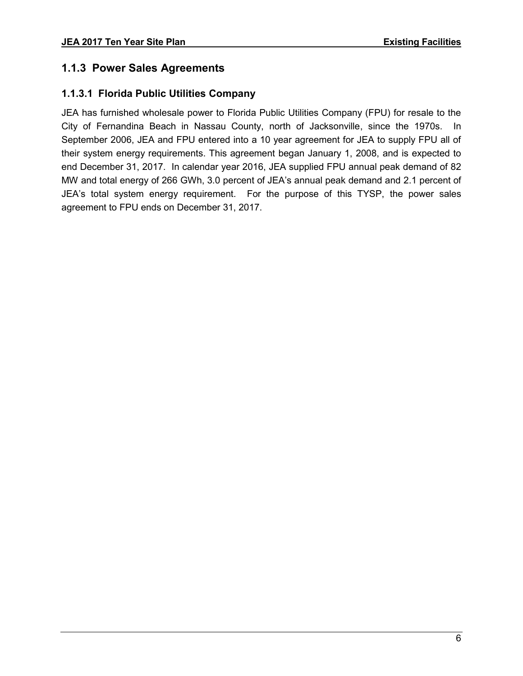#### <span id="page-10-0"></span>**1.1.3 Power Sales Agreements**

#### **1.1.3.1 Florida Public Utilities Company**

JEA has furnished wholesale power to Florida Public Utilities Company (FPU) for resale to the City of Fernandina Beach in Nassau County, north of Jacksonville, since the 1970s. In September 2006, JEA and FPU entered into a 10 year agreement for JEA to supply FPU all of their system energy requirements. This agreement began January 1, 2008, and is expected to end December 31, 2017. In calendar year 2016, JEA supplied FPU annual peak demand of 82 MW and total energy of 266 GWh, 3.0 percent of JEA's annual peak demand and 2.1 percent of JEA's total system energy requirement. For the purpose of this TYSP, the power sales agreement to FPU ends on December 31, 2017.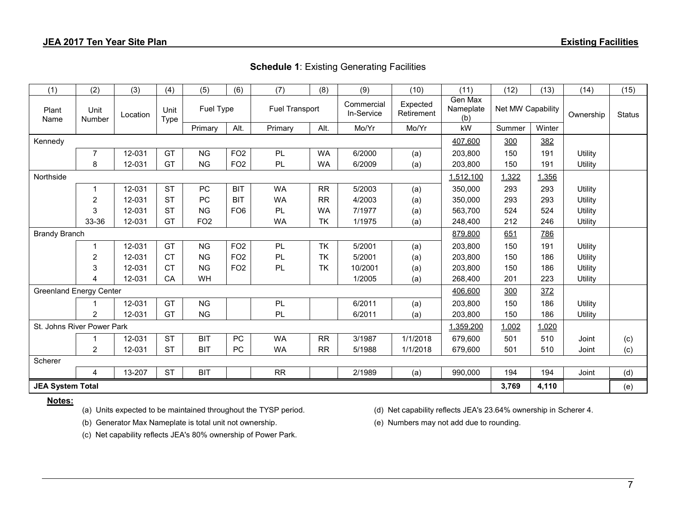| (1)                            | (2)            | (3)      | (4)                 | (5)                         | (6)             | (7)                      | (8)       | (9)                    | (10)                        | (11)              | (12)   | (13)      | (14)          | (15) |
|--------------------------------|----------------|----------|---------------------|-----------------------------|-----------------|--------------------------|-----------|------------------------|-----------------------------|-------------------|--------|-----------|---------------|------|
| Plant<br>Name                  | Unit<br>Number | Location | Unit<br><b>Type</b> | Fuel Type<br>Fuel Transport |                 | Commercial<br>In-Service |           | Expected<br>Retirement | Gen Max<br>Nameplate<br>(b) | Net MW Capability |        | Ownership | <b>Status</b> |      |
|                                |                |          |                     | Primary                     | Alt.            | Primary                  | Alt.      | Mo/Yr                  | Mo/Yr                       | kW                | Summer | Winter    |               |      |
| Kennedy                        |                |          |                     |                             |                 |                          |           |                        | 407,600                     | 300               | 382    |           |               |      |
|                                | 7              | 12-031   | GT                  | <b>NG</b>                   | FO <sub>2</sub> | PL                       | <b>WA</b> | 6/2000                 | (a)                         | 203,800           | 150    | 191       | Utility       |      |
|                                | 8              | 12-031   | GT                  | <b>NG</b>                   | FO <sub>2</sub> | PL                       | <b>WA</b> | 6/2009                 | (a)                         | 203,800           | 150    | 191       | Utility       |      |
| Northside                      |                |          |                     |                             |                 |                          |           |                        |                             | 1,512,100         | 1,322  | 1,356     |               |      |
|                                |                | 12-031   | <b>ST</b>           | PC                          | <b>BIT</b>      | WA                       | <b>RR</b> | 5/2003                 | (a)                         | 350,000           | 293    | 293       | Utility       |      |
|                                | $\overline{c}$ | 12-031   | <b>ST</b>           | PC                          | <b>BIT</b>      | <b>WA</b>                | <b>RR</b> | 4/2003                 | (a)                         | 350,000           | 293    | 293       | Utility       |      |
|                                | 3              | 12-031   | <b>ST</b>           | <b>NG</b>                   | FO <sub>6</sub> | PL                       | <b>WA</b> | 7/1977                 | (a)                         | 563,700           | 524    | 524       | Utility       |      |
|                                | 33-36          | 12-031   | GT                  | FO <sub>2</sub>             |                 | <b>WA</b>                | <b>TK</b> | 1/1975                 | (a)                         | 248,400           | 212    | 246       | Utility       |      |
| <b>Brandy Branch</b>           |                |          |                     |                             |                 |                          |           |                        |                             | 879,800           | 651    | 786       |               |      |
|                                |                | 12-031   | GT                  | <b>NG</b>                   | FO <sub>2</sub> | PL                       | TK        | 5/2001                 | (a)                         | 203,800           | 150    | 191       | Utility       |      |
|                                | 2              | 12-031   | <b>CT</b>           | <b>NG</b>                   | FO <sub>2</sub> | PL                       | <b>TK</b> | 5/2001                 | (a)                         | 203,800           | 150    | 186       | Utility       |      |
|                                | 3              | 12-031   | <b>CT</b>           | <b>NG</b>                   | FO <sub>2</sub> | PL                       | <b>TK</b> | 10/2001                | (a)                         | 203,800           | 150    | 186       | Utility       |      |
|                                | 4              | 12-031   | CA                  | WH                          |                 |                          |           | 1/2005                 | (a)                         | 268,400           | 201    | 223       | Utility       |      |
| <b>Greenland Energy Center</b> |                |          |                     |                             |                 |                          |           |                        |                             | 406,600           | 300    | 372       |               |      |
|                                |                | 12-031   | GT                  | <b>NG</b>                   |                 | PL                       |           | 6/2011                 | (a)                         | 203,800           | 150    | 186       | Utility       |      |
|                                | $\overline{2}$ | 12-031   | GT                  | <b>NG</b>                   |                 | PL                       |           | 6/2011                 | (a)                         | 203,800           | 150    | 186       | Utility       |      |
| St. Johns River Power Park     |                |          |                     |                             |                 |                          |           |                        |                             | 1,359,200         | 1,002  | 1,020     |               |      |
|                                |                | 12-031   | <b>ST</b>           | <b>BIT</b>                  | <b>PC</b>       | <b>WA</b>                | <b>RR</b> | 3/1987                 | 1/1/2018                    | 679,600           | 501    | 510       | Joint         | (c)  |
|                                | $\overline{2}$ | 12-031   | <b>ST</b>           | <b>BIT</b>                  | <b>PC</b>       | <b>WA</b>                | <b>RR</b> | 5/1988                 | 1/1/2018                    | 679,600           | 501    | 510       | Joint         | (c)  |
| Scherer                        |                |          |                     |                             |                 |                          |           |                        |                             |                   |        |           |               |      |
|                                | 4              | 13-207   | <b>ST</b>           | <b>BIT</b>                  |                 | <b>RR</b>                |           | 2/1989                 | (a)                         | 990,000           | 194    | 194       | Joint         | (d)  |
| <b>JEA System Total</b>        |                |          |                     |                             |                 |                          |           |                        |                             |                   | 3,769  | 4,110     |               | (e)  |

#### **Notes:**

(b) Generator Max Nameplate is total unit not ownership. (e) Numbers may not add due to rounding.

(a) Units expected to be maintained throughout the TYSP period. (d) Net capability reflects JEA's 23.64% ownership in Scherer 4.

(c) Net capability reflects JEA's 80% ownership of Power Park.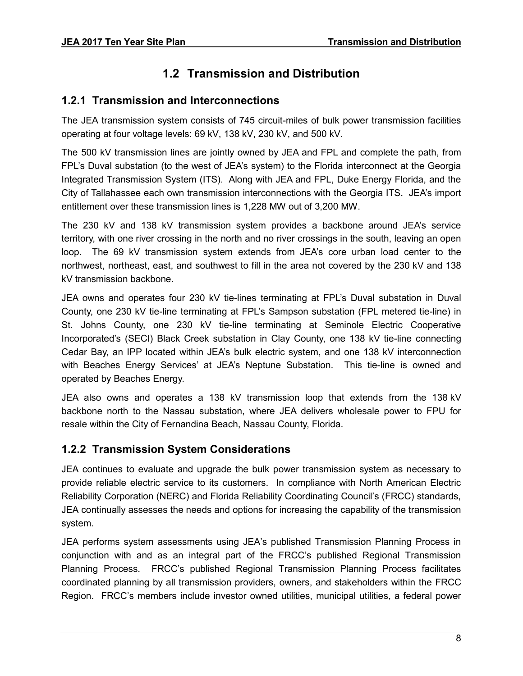## **1.2 Transmission and Distribution**

#### <span id="page-12-1"></span><span id="page-12-0"></span>**1.2.1 Transmission and Interconnections**

The JEA transmission system consists of 745 circuit-miles of bulk power transmission facilities operating at four voltage levels: 69 kV, 138 kV, 230 kV, and 500 kV.

The 500 kV transmission lines are jointly owned by JEA and FPL and complete the path, from FPL's Duval substation (to the west of JEA's system) to the Florida interconnect at the Georgia Integrated Transmission System (ITS). Along with JEA and FPL, Duke Energy Florida, and the City of Tallahassee each own transmission interconnections with the Georgia ITS. JEA's import entitlement over these transmission lines is 1,228 MW out of 3,200 MW.

The 230 kV and 138 kV transmission system provides a backbone around JEA's service territory, with one river crossing in the north and no river crossings in the south, leaving an open loop. The 69 kV transmission system extends from JEA's core urban load center to the northwest, northeast, east, and southwest to fill in the area not covered by the 230 kV and 138 kV transmission backbone.

JEA owns and operates four 230 kV tie-lines terminating at FPL's Duval substation in Duval County, one 230 kV tie-line terminating at FPL's Sampson substation (FPL metered tie-line) in St. Johns County, one 230 kV tie-line terminating at Seminole Electric Cooperative Incorporated's (SECI) Black Creek substation in Clay County, one 138 kV tie-line connecting Cedar Bay, an IPP located within JEA's bulk electric system, and one 138 kV interconnection with Beaches Energy Services' at JEA's Neptune Substation. This tie-line is owned and operated by Beaches Energy.

JEA also owns and operates a 138 kV transmission loop that extends from the 138 kV backbone north to the Nassau substation, where JEA delivers wholesale power to FPU for resale within the City of Fernandina Beach, Nassau County, Florida.

#### <span id="page-12-2"></span>**1.2.2 Transmission System Considerations**

JEA continues to evaluate and upgrade the bulk power transmission system as necessary to provide reliable electric service to its customers. In compliance with North American Electric Reliability Corporation (NERC) and Florida Reliability Coordinating Council's (FRCC) standards, JEA continually assesses the needs and options for increasing the capability of the transmission system.

JEA performs system assessments using JEA's published Transmission Planning Process in conjunction with and as an integral part of the FRCC's published Regional Transmission Planning Process. FRCC's published Regional Transmission Planning Process facilitates coordinated planning by all transmission providers, owners, and stakeholders within the FRCC Region. FRCC's members include investor owned utilities, municipal utilities, a federal power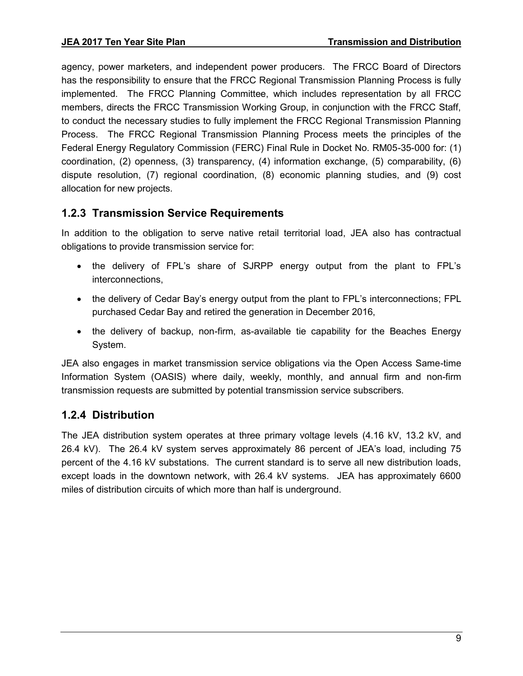agency, power marketers, and independent power producers. The FRCC Board of Directors has the responsibility to ensure that the FRCC Regional Transmission Planning Process is fully implemented. The FRCC Planning Committee, which includes representation by all FRCC members, directs the FRCC Transmission Working Group, in conjunction with the FRCC Staff, to conduct the necessary studies to fully implement the FRCC Regional Transmission Planning Process. The FRCC Regional Transmission Planning Process meets the principles of the Federal Energy Regulatory Commission (FERC) Final Rule in Docket No. RM05-35-000 for: (1) coordination, (2) openness, (3) transparency, (4) information exchange, (5) comparability, (6) dispute resolution, (7) regional coordination, (8) economic planning studies, and (9) cost allocation for new projects.

#### <span id="page-13-0"></span>**1.2.3 Transmission Service Requirements**

In addition to the obligation to serve native retail territorial load, JEA also has contractual obligations to provide transmission service for:

- the delivery of FPL's share of SJRPP energy output from the plant to FPL's interconnections,
- the delivery of Cedar Bay's energy output from the plant to FPL's interconnections; FPL purchased Cedar Bay and retired the generation in December 2016,
- the delivery of backup, non-firm, as-available tie capability for the Beaches Energy System.

JEA also engages in market transmission service obligations via the Open Access Same-time Information System (OASIS) where daily, weekly, monthly, and annual firm and non-firm transmission requests are submitted by potential transmission service subscribers.

#### <span id="page-13-1"></span>**1.2.4 Distribution**

The JEA distribution system operates at three primary voltage levels (4.16 kV, 13.2 kV, and 26.4 kV). The 26.4 kV system serves approximately 86 percent of JEA's load, including 75 percent of the 4.16 kV substations. The current standard is to serve all new distribution loads, except loads in the downtown network, with 26.4 kV systems. JEA has approximately 6600 miles of distribution circuits of which more than half is underground.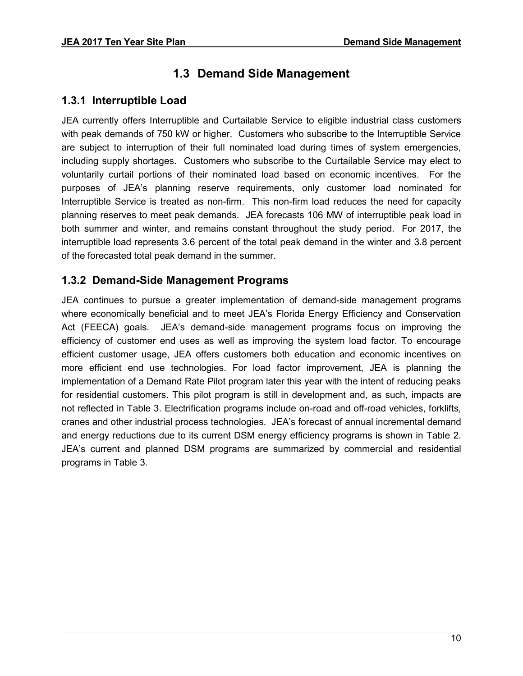## **1.3 Demand Side Management**

#### <span id="page-14-1"></span><span id="page-14-0"></span>**1.3.1 Interruptible Load**

JEA currently offers Interruptible and Curtailable Service to eligible industrial class customers with peak demands of 750 kW or higher. Customers who subscribe to the Interruptible Service are subject to interruption of their full nominated load during times of system emergencies, including supply shortages. Customers who subscribe to the Curtailable Service may elect to voluntarily curtail portions of their nominated load based on economic incentives. For the purposes of JEA's planning reserve requirements, only customer load nominated for Interruptible Service is treated as non-firm. This non-firm load reduces the need for capacity planning reserves to meet peak demands. JEA forecasts 106 MW of interruptible peak load in both summer and winter, and remains constant throughout the study period. For 2017, the interruptible load represents 3.6 percent of the total peak demand in the winter and 3.8 percent of the forecasted total peak demand in the summer.

#### <span id="page-14-2"></span>**1.3.2 Demand-Side Management Programs**

JEA continues to pursue a greater implementation of demand-side management programs where economically beneficial and to meet JEA's Florida Energy Efficiency and Conservation Act (FEECA) goals. JEA's demand-side management programs focus on improving the efficiency of customer end uses as well as improving the system load factor. To encourage efficient customer usage, JEA offers customers both education and economic incentives on more efficient end use technologies. For load factor improvement, JEA is planning the implementation of a Demand Rate Pilot program later this year with the intent of reducing peaks for residential customers. This pilot program is still in development and, as such, impacts are not reflected in Table 3. Electrification programs include on-road and off-road vehicles, forklifts, cranes and other industrial process technologies. JEA's forecast of annual incremental demand and energy reductions due to its current DSM energy efficiency programs is shown in Table 2. JEA's current and planned DSM programs are summarized by commercial and residential programs in Table 3.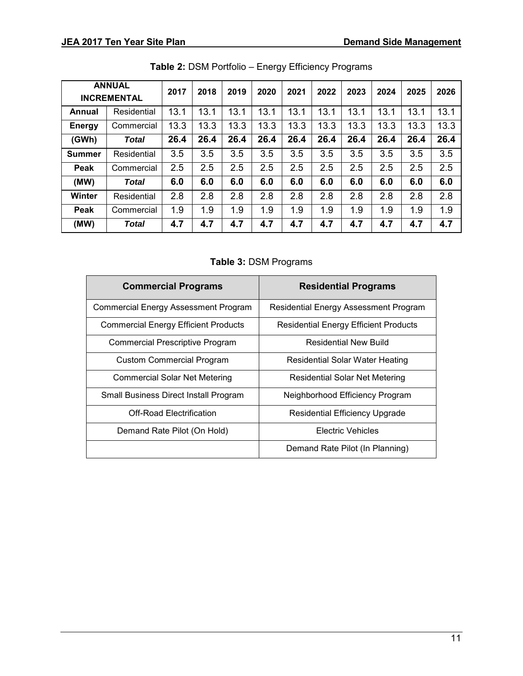| <b>ANNUAL</b><br><b>INCREMENTAL</b> |              | 2017 | 2018 | 2019 | 2020 | 2021 | 2022 | 2023 | 2024 | 2025 | 2026 |
|-------------------------------------|--------------|------|------|------|------|------|------|------|------|------|------|
| Annual                              | Residential  | 13.1 | 13.1 | 13.1 | 13.1 | 13.1 | 13.1 | 13.1 | 13.1 | 13.1 | 13.1 |
| <b>Energy</b>                       | Commercial   | 13.3 | 13.3 | 13.3 | 13.3 | 13.3 | 13.3 | 13.3 | 13.3 | 13.3 | 13.3 |
| (GWh)                               | <b>Total</b> | 26.4 | 26.4 | 26.4 | 26.4 | 26.4 | 26.4 | 26.4 | 26.4 | 26.4 | 26.4 |
| <b>Summer</b>                       | Residential  | 3.5  | 3.5  | 3.5  | 3.5  | 3.5  | 3.5  | 3.5  | 3.5  | 3.5  | 3.5  |
| <b>Peak</b>                         | Commercial   | 2.5  | 2.5  | 2.5  | 2.5  | 2.5  | 2.5  | 2.5  | 2.5  | 2.5  | 2.5  |
| (MW)                                | <b>Total</b> | 6.0  | 6.0  | 6.0  | 6.0  | 6.0  | 6.0  | 6.0  | 6.0  | 6.0  | 6.0  |
| Winter                              | Residential  | 2.8  | 2.8  | 2.8  | 2.8  | 2.8  | 2.8  | 2.8  | 2.8  | 2.8  | 2.8  |
| Peak                                | Commercial   | 1.9  | 1.9  | 1.9  | 1.9  | 1.9  | 1.9  | 1.9  | 1.9  | 1.9  | 1.9  |
| (MW)                                | <b>Total</b> | 4.7  | 4.7  | 4.7  | 4.7  | 4.7  | 4.7  | 4.7  | 4.7  | 4.7  | 4.7  |

#### **Table 3:** DSM Programs

| <b>Commercial Programs</b>                  | <b>Residential Programs</b>                  |
|---------------------------------------------|----------------------------------------------|
| <b>Commercial Energy Assessment Program</b> | Residential Energy Assessment Program        |
| <b>Commercial Energy Efficient Products</b> | <b>Residential Energy Efficient Products</b> |
| <b>Commercial Prescriptive Program</b>      | <b>Residential New Build</b>                 |
| <b>Custom Commercial Program</b>            | Residential Solar Water Heating              |
| <b>Commercial Solar Net Metering</b>        | <b>Residential Solar Net Metering</b>        |
| Small Business Direct Install Program       | Neighborhood Efficiency Program              |
| <b>Off-Road Electrification</b>             | <b>Residential Efficiency Upgrade</b>        |
| Demand Rate Pilot (On Hold)                 | <b>Electric Vehicles</b>                     |
|                                             | Demand Rate Pilot (In Planning)              |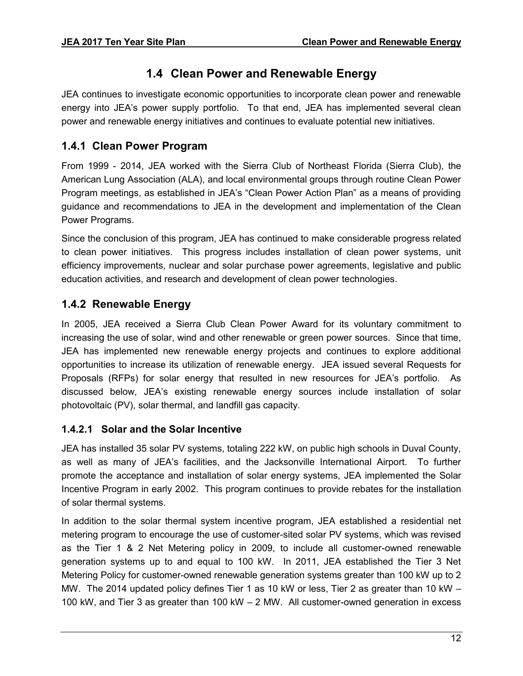## **1.4 Clean Power and Renewable Energy**

<span id="page-16-0"></span>JEA continues to investigate economic opportunities to incorporate clean power and renewable energy into JEA's power supply portfolio. To that end, JEA has implemented several clean power and renewable energy initiatives and continues to evaluate potential new initiatives.

#### <span id="page-16-1"></span>**1.4.1 Clean Power Program**

From 1999 - 2014, JEA worked with the Sierra Club of Northeast Florida (Sierra Club), the American Lung Association (ALA), and local environmental groups through routine Clean Power Program meetings, as established in JEA's "Clean Power Action Plan" as a means of providing guidance and recommendations to JEA in the development and implementation of the Clean Power Programs.

Since the conclusion of this program, JEA has continued to make considerable progress related to clean power initiatives. This progress includes installation of clean power systems, unit efficiency improvements, nuclear and solar purchase power agreements, legislative and public education activities, and research and development of clean power technologies.

#### <span id="page-16-2"></span>**1.4.2 Renewable Energy**

In 2005, JEA received a Sierra Club Clean Power Award for its voluntary commitment to increasing the use of solar, wind and other renewable or green power sources. Since that time, JEA has implemented new renewable energy projects and continues to explore additional opportunities to increase its utilization of renewable energy. JEA issued several Requests for Proposals (RFPs) for solar energy that resulted in new resources for JEA's portfolio. As discussed below, JEA's existing renewable energy sources include installation of solar photovoltaic (PV), solar thermal, and landfill gas capacity.

#### **1.4.2.1 Solar and the Solar Incentive**

JEA has installed 35 solar PV systems, totaling 222 kW, on public high schools in Duval County, as well as many of JEA's facilities, and the Jacksonville International Airport. To further promote the acceptance and installation of solar energy systems, JEA implemented the Solar Incentive Program in early 2002. This program continues to provide rebates for the installation of solar thermal systems.

In addition to the solar thermal system incentive program, JEA established a residential net metering program to encourage the use of customer-sited solar PV systems, which was revised as the Tier 1 & 2 Net Metering policy in 2009, to include all customer-owned renewable generation systems up to and equal to 100 kW. In 2011, JEA established the Tier 3 Net Metering Policy for customer-owned renewable generation systems greater than 100 kW up to 2 MW. The 2014 updated policy defines Tier 1 as 10 kW or less, Tier 2 as greater than 10 kW – 100 kW, and Tier 3 as greater than 100 kW – 2 MW. All customer-owned generation in excess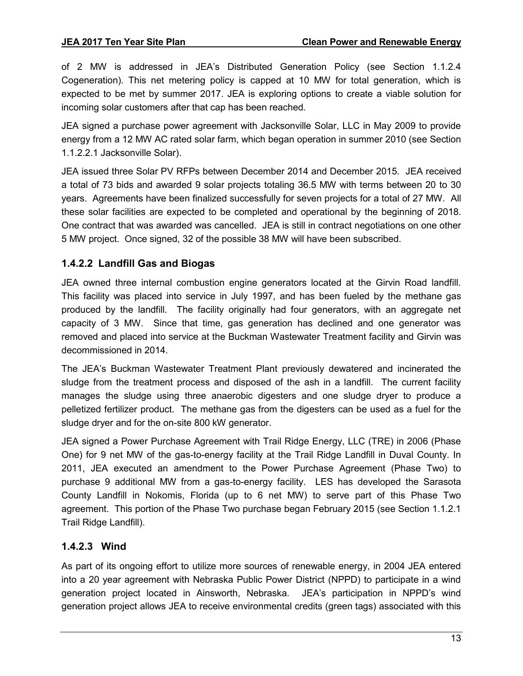of 2 MW is addressed in JEA's Distributed Generation Policy (see Section 1.1.2.4 Cogeneration). This net metering policy is capped at 10 MW for total generation, which is expected to be met by summer 2017. JEA is exploring options to create a viable solution for incoming solar customers after that cap has been reached.

JEA signed a purchase power agreement with Jacksonville Solar, LLC in May 2009 to provide energy from a 12 MW AC rated solar farm, which began operation in summer 2010 (see Section 1.1.2.2.1 Jacksonville Solar).

JEA issued three Solar PV RFPs between December 2014 and December 2015. JEA received a total of 73 bids and awarded 9 solar projects totaling 36.5 MW with terms between 20 to 30 years. Agreements have been finalized successfully for seven projects for a total of 27 MW. All these solar facilities are expected to be completed and operational by the beginning of 2018. One contract that was awarded was cancelled. JEA is still in contract negotiations on one other 5 MW project. Once signed, 32 of the possible 38 MW will have been subscribed.

#### **1.4.2.2 Landfill Gas and Biogas**

JEA owned three internal combustion engine generators located at the Girvin Road landfill. This facility was placed into service in July 1997, and has been fueled by the methane gas produced by the landfill. The facility originally had four generators, with an aggregate net capacity of 3 MW. Since that time, gas generation has declined and one generator was removed and placed into service at the Buckman Wastewater Treatment facility and Girvin was decommissioned in 2014.

The JEA's Buckman Wastewater Treatment Plant previously dewatered and incinerated the sludge from the treatment process and disposed of the ash in a landfill. The current facility manages the sludge using three anaerobic digesters and one sludge dryer to produce a pelletized fertilizer product. The methane gas from the digesters can be used as a fuel for the sludge dryer and for the on-site 800 kW generator.

JEA signed a Power Purchase Agreement with Trail Ridge Energy, LLC (TRE) in 2006 (Phase One) for 9 net MW of the gas-to-energy facility at the Trail Ridge Landfill in Duval County. In 2011, JEA executed an amendment to the Power Purchase Agreement (Phase Two) to purchase 9 additional MW from a gas-to-energy facility. LES has developed the Sarasota County Landfill in Nokomis, Florida (up to 6 net MW) to serve part of this Phase Two agreement. This portion of the Phase Two purchase began February 2015 (see Section 1.1.2.1 Trail Ridge Landfill).

#### **1.4.2.3 Wind**

As part of its ongoing effort to utilize more sources of renewable energy, in 2004 JEA entered into a 20 year agreement with Nebraska Public Power District (NPPD) to participate in a wind generation project located in Ainsworth, Nebraska. JEA's participation in NPPD's wind generation project allows JEA to receive environmental credits (green tags) associated with this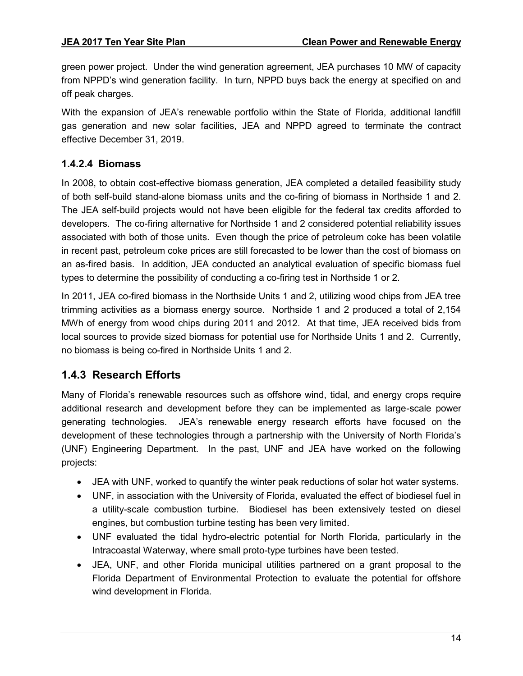green power project. Under the wind generation agreement, JEA purchases 10 MW of capacity from NPPD's wind generation facility. In turn, NPPD buys back the energy at specified on and off peak charges.

With the expansion of JEA's renewable portfolio within the State of Florida, additional landfill gas generation and new solar facilities, JEA and NPPD agreed to terminate the contract effective December 31, 2019.

#### **1.4.2.4 Biomass**

In 2008, to obtain cost-effective biomass generation, JEA completed a detailed feasibility study of both self-build stand-alone biomass units and the co-firing of biomass in Northside 1 and 2. The JEA self-build projects would not have been eligible for the federal tax credits afforded to developers. The co-firing alternative for Northside 1 and 2 considered potential reliability issues associated with both of those units. Even though the price of petroleum coke has been volatile in recent past, petroleum coke prices are still forecasted to be lower than the cost of biomass on an as-fired basis. In addition, JEA conducted an analytical evaluation of specific biomass fuel types to determine the possibility of conducting a co-firing test in Northside 1 or 2.

In 2011, JEA co-fired biomass in the Northside Units 1 and 2, utilizing wood chips from JEA tree trimming activities as a biomass energy source. Northside 1 and 2 produced a total of 2,154 MWh of energy from wood chips during 2011 and 2012. At that time, JEA received bids from local sources to provide sized biomass for potential use for Northside Units 1 and 2. Currently, no biomass is being co-fired in Northside Units 1 and 2.

#### <span id="page-18-0"></span>**1.4.3 Research Efforts**

Many of Florida's renewable resources such as offshore wind, tidal, and energy crops require additional research and development before they can be implemented as large-scale power generating technologies. JEA's renewable energy research efforts have focused on the development of these technologies through a partnership with the University of North Florida's (UNF) Engineering Department. In the past, UNF and JEA have worked on the following projects:

- JEA with UNF, worked to quantify the winter peak reductions of solar hot water systems.
- UNF, in association with the University of Florida, evaluated the effect of biodiesel fuel in a utility-scale combustion turbine. Biodiesel has been extensively tested on diesel engines, but combustion turbine testing has been very limited.
- UNF evaluated the tidal hydro-electric potential for North Florida, particularly in the Intracoastal Waterway, where small proto-type turbines have been tested.
- JEA, UNF, and other Florida municipal utilities partnered on a grant proposal to the Florida Department of Environmental Protection to evaluate the potential for offshore wind development in Florida.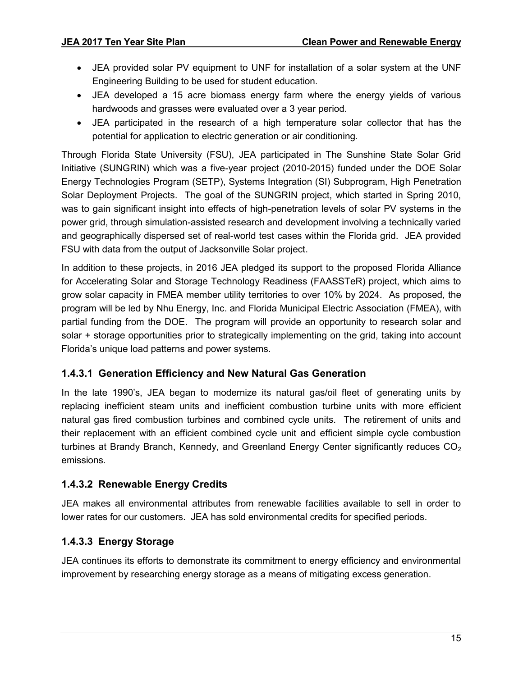- JEA provided solar PV equipment to UNF for installation of a solar system at the UNF Engineering Building to be used for student education.
- JEA developed a 15 acre biomass energy farm where the energy yields of various hardwoods and grasses were evaluated over a 3 year period.
- JEA participated in the research of a high temperature solar collector that has the potential for application to electric generation or air conditioning.

Through Florida State University (FSU), JEA participated in The Sunshine State Solar Grid Initiative (SUNGRIN) which was a five-year project (2010-2015) funded under the DOE Solar Energy Technologies Program (SETP), Systems Integration (SI) Subprogram, High Penetration Solar Deployment Projects. The goal of the SUNGRIN project, which started in Spring 2010, was to gain significant insight into effects of high-penetration levels of solar PV systems in the power grid, through simulation-assisted research and development involving a technically varied and geographically dispersed set of real-world test cases within the Florida grid. JEA provided FSU with data from the output of Jacksonville Solar project.

In addition to these projects, in 2016 JEA pledged its support to the proposed Florida Alliance for Accelerating Solar and Storage Technology Readiness (FAASSTeR) project, which aims to grow solar capacity in FMEA member utility territories to over 10% by 2024. As proposed, the program will be led by Nhu Energy, Inc. and Florida Municipal Electric Association (FMEA), with partial funding from the DOE. The program will provide an opportunity to research solar and solar + storage opportunities prior to strategically implementing on the grid, taking into account Florida's unique load patterns and power systems.

#### **1.4.3.1 Generation Efficiency and New Natural Gas Generation**

In the late 1990's, JEA began to modernize its natural gas/oil fleet of generating units by replacing inefficient steam units and inefficient combustion turbine units with more efficient natural gas fired combustion turbines and combined cycle units. The retirement of units and their replacement with an efficient combined cycle unit and efficient simple cycle combustion turbines at Brandy Branch, Kennedy, and Greenland Energy Center significantly reduces  $CO<sub>2</sub>$ emissions.

#### **1.4.3.2 Renewable Energy Credits**

JEA makes all environmental attributes from renewable facilities available to sell in order to lower rates for our customers. JEA has sold environmental credits for specified periods.

#### **1.4.3.3 Energy Storage**

JEA continues its efforts to demonstrate its commitment to energy efficiency and environmental improvement by researching energy storage as a means of mitigating excess generation.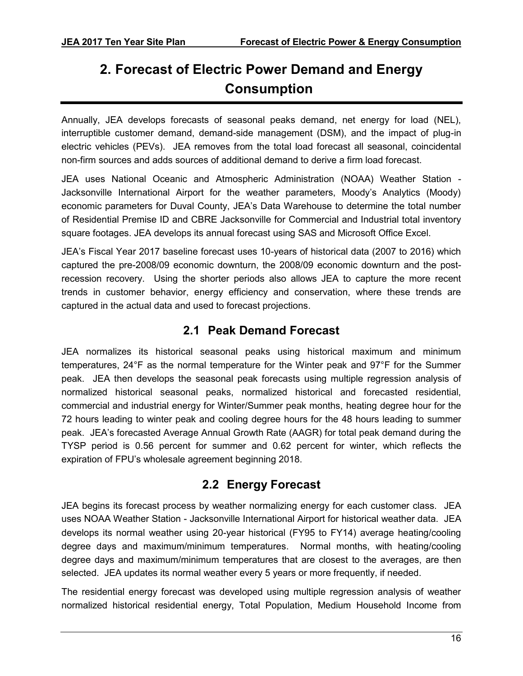# <span id="page-20-0"></span>**2. Forecast of Electric Power Demand and Energy Consumption**

Annually, JEA develops forecasts of seasonal peaks demand, net energy for load (NEL), interruptible customer demand, demand-side management (DSM), and the impact of plug-in electric vehicles (PEVs). JEA removes from the total load forecast all seasonal, coincidental non-firm sources and adds sources of additional demand to derive a firm load forecast.

JEA uses National Oceanic and Atmospheric Administration (NOAA) Weather Station - Jacksonville International Airport for the weather parameters, Moody's Analytics (Moody) economic parameters for Duval County, JEA's Data Warehouse to determine the total number of Residential Premise ID and CBRE Jacksonville for Commercial and Industrial total inventory square footages. JEA develops its annual forecast using SAS and Microsoft Office Excel.

JEA's Fiscal Year 2017 baseline forecast uses 10-years of historical data (2007 to 2016) which captured the pre-2008/09 economic downturn, the 2008/09 economic downturn and the postrecession recovery. Using the shorter periods also allows JEA to capture the more recent trends in customer behavior, energy efficiency and conservation, where these trends are captured in the actual data and used to forecast projections.

### **2.1 Peak Demand Forecast**

<span id="page-20-1"></span>JEA normalizes its historical seasonal peaks using historical maximum and minimum temperatures, 24°F as the normal temperature for the Winter peak and 97°F for the Summer peak. JEA then develops the seasonal peak forecasts using multiple regression analysis of normalized historical seasonal peaks, normalized historical and forecasted residential, commercial and industrial energy for Winter/Summer peak months, heating degree hour for the 72 hours leading to winter peak and cooling degree hours for the 48 hours leading to summer peak. JEA's forecasted Average Annual Growth Rate (AAGR) for total peak demand during the TYSP period is 0.56 percent for summer and 0.62 percent for winter, which reflects the expiration of FPU's wholesale agreement beginning 2018.

### **2.2 Energy Forecast**

<span id="page-20-2"></span>JEA begins its forecast process by weather normalizing energy for each customer class. JEA uses NOAA Weather Station - Jacksonville International Airport for historical weather data. JEA develops its normal weather using 20-year historical (FY95 to FY14) average heating/cooling degree days and maximum/minimum temperatures. Normal months, with heating/cooling degree days and maximum/minimum temperatures that are closest to the averages, are then selected. JEA updates its normal weather every 5 years or more frequently, if needed.

The residential energy forecast was developed using multiple regression analysis of weather normalized historical residential energy, Total Population, Medium Household Income from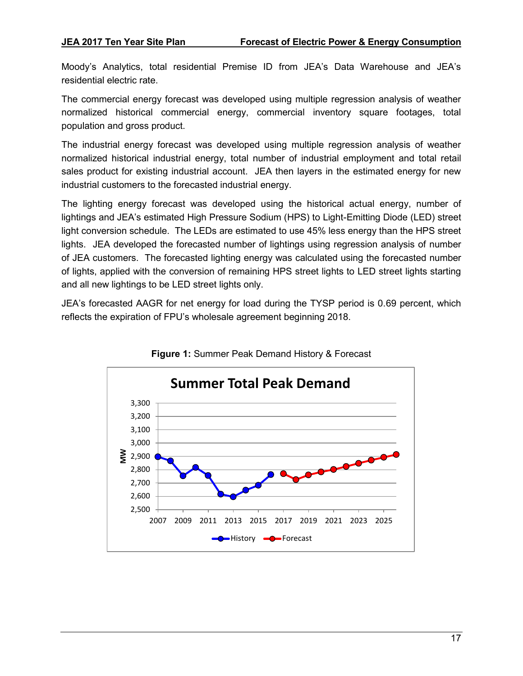Moody's Analytics, total residential Premise ID from JEA's Data Warehouse and JEA's residential electric rate.

The commercial energy forecast was developed using multiple regression analysis of weather normalized historical commercial energy, commercial inventory square footages, total population and gross product.

The industrial energy forecast was developed using multiple regression analysis of weather normalized historical industrial energy, total number of industrial employment and total retail sales product for existing industrial account. JEA then layers in the estimated energy for new industrial customers to the forecasted industrial energy.

The lighting energy forecast was developed using the historical actual energy, number of lightings and JEA's estimated High Pressure Sodium (HPS) to Light-Emitting Diode (LED) street light conversion schedule. The LEDs are estimated to use 45% less energy than the HPS street lights. JEA developed the forecasted number of lightings using regression analysis of number of JEA customers. The forecasted lighting energy was calculated using the forecasted number of lights, applied with the conversion of remaining HPS street lights to LED street lights starting and all new lightings to be LED street lights only.

JEA's forecasted AAGR for net energy for load during the TYSP period is 0.69 percent, which reflects the expiration of FPU's wholesale agreement beginning 2018.



**Figure 1:** Summer Peak Demand History & Forecast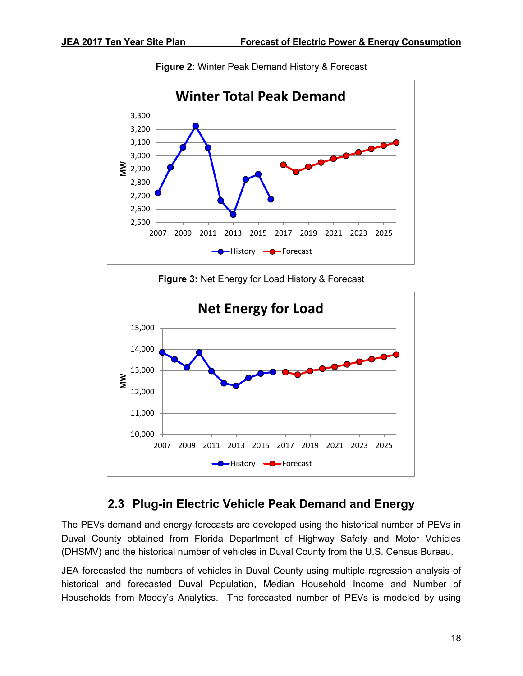

**Figure 2:** Winter Peak Demand History & Forecast

**Figure 3:** Net Energy for Load History & Forecast



### **2.3 Plug-in Electric Vehicle Peak Demand and Energy**

<span id="page-22-0"></span>The PEVs demand and energy forecasts are developed using the historical number of PEVs in Duval County obtained from Florida Department of Highway Safety and Motor Vehicles (DHSMV) and the historical number of vehicles in Duval County from the U.S. Census Bureau.

JEA forecasted the numbers of vehicles in Duval County using multiple regression analysis of historical and forecasted Duval Population, Median Household Income and Number of Households from Moody's Analytics. The forecasted number of PEVs is modeled by using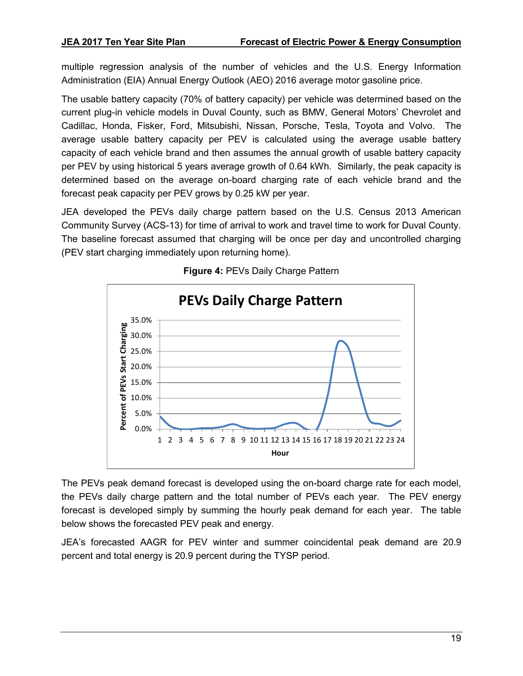multiple regression analysis of the number of vehicles and the U.S. Energy Information Administration (EIA) Annual Energy Outlook (AEO) 2016 average motor gasoline price.

The usable battery capacity (70% of battery capacity) per vehicle was determined based on the current plug-in vehicle models in Duval County, such as BMW, General Motors' Chevrolet and Cadillac, Honda, Fisker, Ford, Mitsubishi, Nissan, Porsche, Tesla, Toyota and Volvo. The average usable battery capacity per PEV is calculated using the average usable battery capacity of each vehicle brand and then assumes the annual growth of usable battery capacity per PEV by using historical 5 years average growth of 0.64 kWh. Similarly, the peak capacity is determined based on the average on-board charging rate of each vehicle brand and the forecast peak capacity per PEV grows by 0.25 kW per year.

JEA developed the PEVs daily charge pattern based on the U.S. Census 2013 American Community Survey (ACS-13) for time of arrival to work and travel time to work for Duval County. The baseline forecast assumed that charging will be once per day and uncontrolled charging (PEV start charging immediately upon returning home).



**Figure 4:** PEVs Daily Charge Pattern

The PEVs peak demand forecast is developed using the on-board charge rate for each model, the PEVs daily charge pattern and the total number of PEVs each year. The PEV energy forecast is developed simply by summing the hourly peak demand for each year. The table below shows the forecasted PEV peak and energy.

JEA's forecasted AAGR for PEV winter and summer coincidental peak demand are 20.9 percent and total energy is 20.9 percent during the TYSP period.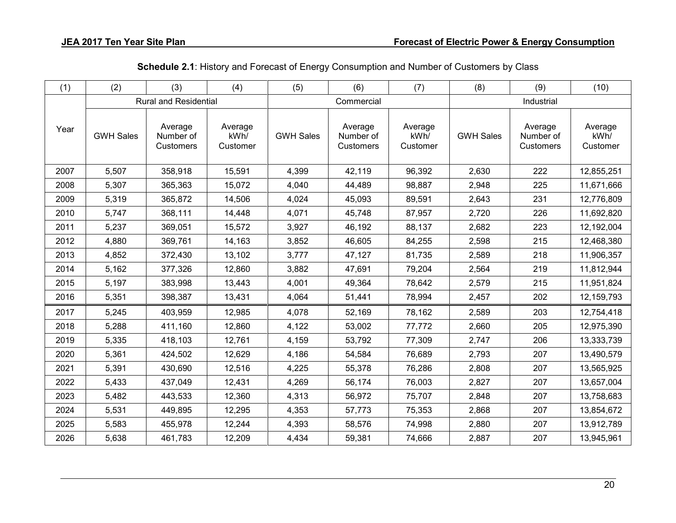| (1)  | (2)              | (3)                               | (4)                         | (5)              | (6)                               | (7)                         | (8)              | (9)                               | (10)                        |  |
|------|------------------|-----------------------------------|-----------------------------|------------------|-----------------------------------|-----------------------------|------------------|-----------------------------------|-----------------------------|--|
|      |                  | <b>Rural and Residential</b>      |                             |                  | Commercial                        |                             | Industrial       |                                   |                             |  |
| Year | <b>GWH Sales</b> | Average<br>Number of<br>Customers | Average<br>kWh/<br>Customer | <b>GWH Sales</b> | Average<br>Number of<br>Customers | Average<br>kWh/<br>Customer | <b>GWH Sales</b> | Average<br>Number of<br>Customers | Average<br>kWh/<br>Customer |  |
| 2007 | 5,507            | 358,918                           | 15,591                      | 4,399            | 42,119                            | 96,392                      | 2,630            | 222                               | 12,855,251                  |  |
| 2008 | 5,307            | 365,363                           | 15,072                      | 4,040            | 44,489                            | 98,887                      | 2,948            | 225                               | 11,671,666                  |  |
| 2009 | 5,319            | 365,872                           | 14,506                      | 4,024            | 45,093                            | 89,591                      | 2,643            | 231                               | 12,776,809                  |  |
| 2010 | 5,747            | 368,111                           | 14,448                      | 4,071            | 45,748                            | 87,957                      | 2,720            | 226                               | 11,692,820                  |  |
| 2011 | 5,237            | 369,051                           | 15,572                      | 3,927            | 46,192                            | 88,137                      | 2,682            | 223                               | 12,192,004                  |  |
| 2012 | 4,880            | 369,761                           | 14,163                      | 3,852            | 46,605                            | 84,255                      | 2,598            | 215                               | 12,468,380                  |  |
| 2013 | 4,852            | 372,430                           | 13,102                      | 3,777            | 47,127                            | 81,735                      | 2,589            | 218                               | 11,906,357                  |  |
| 2014 | 5,162            | 377,326                           | 12,860                      | 3,882            | 47,691                            | 79,204                      | 2,564            | 219                               | 11,812,944                  |  |
| 2015 | 5,197            | 383,998                           | 13,443                      | 4,001            | 49,364                            | 78,642                      | 2,579            | 215                               | 11,951,824                  |  |
| 2016 | 5,351            | 398,387                           | 13,431                      | 4,064            | 51,441                            | 78,994                      | 2,457            | 202                               | 12,159,793                  |  |
| 2017 | 5,245            | 403,959                           | 12,985                      | 4,078            | 52,169                            | 78,162                      | 2,589            | 203                               | 12,754,418                  |  |
| 2018 | 5,288            | 411,160                           | 12,860                      | 4,122            | 53,002                            | 77,772                      | 2,660            | 205                               | 12,975,390                  |  |
| 2019 | 5,335            | 418,103                           | 12,761                      | 4,159            | 53,792                            | 77,309                      | 2,747            | 206                               | 13,333,739                  |  |
| 2020 | 5,361            | 424,502                           | 12,629                      | 4,186            | 54,584                            | 76,689                      | 2,793            | 207                               | 13,490,579                  |  |
| 2021 | 5,391            | 430,690                           | 12,516                      | 4,225            | 55,378                            | 76,286                      | 2,808            | 207                               | 13,565,925                  |  |
| 2022 | 5,433            | 437,049                           | 12,431                      | 4,269            | 56,174                            | 76,003                      | 2,827            | 207                               | 13,657,004                  |  |
| 2023 | 5,482            | 443,533                           | 12,360                      | 4,313            | 56,972                            | 75,707                      | 2,848            | 207                               | 13,758,683                  |  |
| 2024 | 5,531            | 449,895                           | 12,295                      | 4,353            | 57,773                            | 75,353                      | 2,868            | 207                               | 13,854,672                  |  |
| 2025 | 5,583            | 455,978                           | 12,244                      | 4,393            | 58,576                            | 74,998                      | 2,880            | 207                               | 13,912,789                  |  |
| 2026 | 5,638            | 461,783                           | 12,209                      | 4,434            | 59,381                            | 74,666                      | 2,887            | 207                               | 13,945,961                  |  |

**Schedule 2.1**: History and Forecast of Energy Consumption and Number of Customers by Class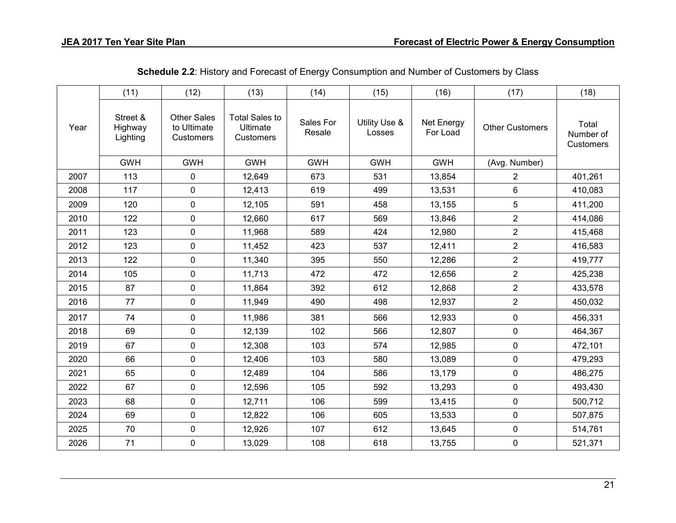|      | (11)                            | (12)                                           | (13)                                           | (14)                | (15)                    | (16)                   | (17)                   | (18)                            |
|------|---------------------------------|------------------------------------------------|------------------------------------------------|---------------------|-------------------------|------------------------|------------------------|---------------------------------|
| Year | Street &<br>Highway<br>Lighting | <b>Other Sales</b><br>to Ultimate<br>Customers | <b>Total Sales to</b><br>Ultimate<br>Customers | Sales For<br>Resale | Utility Use &<br>Losses | Net Energy<br>For Load | <b>Other Customers</b> | Total<br>Number of<br>Customers |
|      | <b>GWH</b>                      | <b>GWH</b>                                     | <b>GWH</b>                                     | <b>GWH</b>          | <b>GWH</b>              | <b>GWH</b>             | (Avg. Number)          |                                 |
| 2007 | 113                             | 0                                              | 12,649                                         | 673                 | 531                     | 13,854                 | $\overline{2}$         | 401,261                         |
| 2008 | 117                             | 0                                              | 12,413                                         | 619                 | 499                     | 13,531                 | 6                      | 410,083                         |
| 2009 | 120                             | 0                                              | 12,105                                         | 591                 | 458                     | 13,155                 | 5                      | 411,200                         |
| 2010 | 122                             | 0                                              | 12,660                                         | 617                 | 569                     | 13,846                 | $\overline{2}$         | 414,086                         |
| 2011 | 123                             | 0                                              | 11,968                                         | 589                 | 424                     | 12,980                 | $\overline{2}$         | 415,468                         |
| 2012 | 123                             | 0                                              | 11,452                                         | 423                 | 537                     | 12,411                 | $\overline{2}$         | 416,583                         |
| 2013 | 122                             | 0                                              | 11,340                                         | 395                 | 550                     | 12,286                 | $\overline{2}$         | 419,777                         |
| 2014 | 105                             | 0                                              | 11,713                                         | 472                 | 472                     | 12,656                 | $\overline{2}$         | 425,238                         |
| 2015 | 87                              | 0                                              | 11,864                                         | 392                 | 612                     | 12,868                 | $\overline{2}$         | 433,578                         |
| 2016 | 77                              | 0                                              | 11,949                                         | 490                 | 498                     | 12,937                 | $\overline{2}$         | 450,032                         |
| 2017 | 74                              | 0                                              | 11,986                                         | 381                 | 566                     | 12,933                 | $\pmb{0}$              | 456,331                         |
| 2018 | 69                              | 0                                              | 12,139                                         | 102                 | 566                     | 12,807                 | 0                      | 464,367                         |
| 2019 | 67                              | 0                                              | 12,308                                         | 103                 | 574                     | 12,985                 | $\mathbf 0$            | 472,101                         |
| 2020 | 66                              | 0                                              | 12,406                                         | 103                 | 580                     | 13,089                 | $\mathbf 0$            | 479,293                         |
| 2021 | 65                              | 0                                              | 12,489                                         | 104                 | 586                     | 13,179                 | $\mathbf 0$            | 486,275                         |
| 2022 | 67                              | 0                                              | 12,596                                         | 105                 | 592                     | 13,293                 | $\mathbf 0$            | 493,430                         |
| 2023 | 68                              | 0                                              | 12,711                                         | 106                 | 599                     | 13,415                 | $\mathbf 0$            | 500,712                         |
| 2024 | 69                              | 0                                              | 12,822                                         | 106                 | 605                     | 13,533                 | $\pmb{0}$              | 507,875                         |
| 2025 | 70                              | 0                                              | 12,926                                         | 107                 | 612                     | 13,645                 | 0                      | 514,761                         |
| 2026 | 71                              | 0                                              | 13,029                                         | 108                 | 618                     | 13,755                 | 0                      | 521,371                         |

**Schedule 2.2**: History and Forecast of Energy Consumption and Number of Customers by Class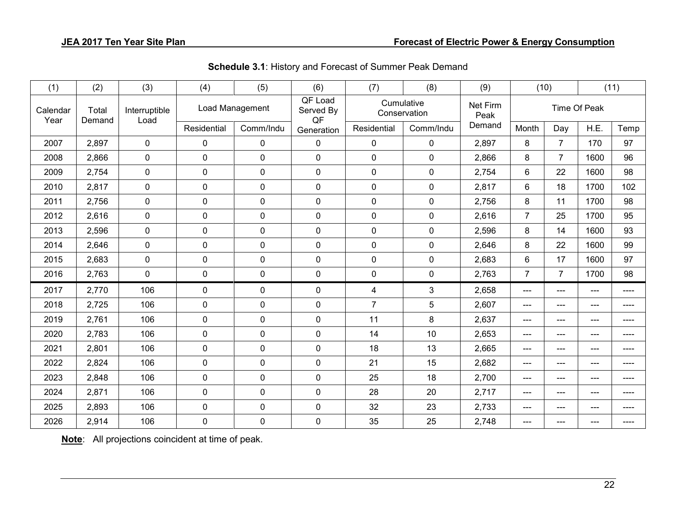| (1)              | (2)             | (3)                   | (4)             | (5)         | (6)                        | (7)            | (8)                        | (9)    | (10)           |                | (11)  |      |
|------------------|-----------------|-----------------------|-----------------|-------------|----------------------------|----------------|----------------------------|--------|----------------|----------------|-------|------|
| Calendar<br>Year | Total<br>Demand | Interruptible<br>Load | Load Management |             | QF Load<br>Served By<br>QF |                | Cumulative<br>Conservation |        | Time Of Peak   |                |       |      |
|                  |                 |                       | Residential     | Comm/Indu   | Generation                 | Residential    | Comm/Indu                  | Demand | Month          | Day            | H.E.  | Temp |
| 2007             | 2,897           | $\mathbf 0$           | $\mathbf 0$     | $\pmb{0}$   | $\mathbf 0$                | $\mathbf 0$    | $\mathbf 0$                | 2,897  | 8              | $\overline{7}$ | 170   | 97   |
| 2008             | 2,866           | $\mathbf 0$           | $\mathbf 0$     | $\pmb{0}$   | $\mathbf 0$                | $\mathbf 0$    | $\mathbf 0$                | 2,866  | 8              | $\overline{7}$ | 1600  | 96   |
| 2009             | 2,754           | $\mathbf 0$           | $\mathbf 0$     | $\pmb{0}$   | $\mathbf 0$                | $\mathbf 0$    | $\mathbf 0$                | 2,754  | 6              | 22             | 1600  | 98   |
| 2010             | 2,817           | $\mathbf 0$           | $\mathbf 0$     | $\pmb{0}$   | $\mathbf 0$                | $\mathbf 0$    | $\mathbf 0$                | 2,817  | 6              | 18             | 1700  | 102  |
| 2011             | 2,756           | $\pmb{0}$             | $\pmb{0}$       | $\pmb{0}$   | $\mathbf 0$                | $\mathbf 0$    | $\mathbf 0$                | 2,756  | 8              | 11             | 1700  | 98   |
| 2012             | 2,616           | $\pmb{0}$             | $\mathbf 0$     | $\pmb{0}$   | $\mathbf 0$                | $\mathbf 0$    | $\mathbf 0$                | 2,616  | $\overline{7}$ | 25             | 1700  | 95   |
| 2013             | 2,596           | $\mathbf 0$           | $\mathbf 0$     | $\mathbf 0$ | $\mathbf 0$                | $\mathbf 0$    | $\mathbf 0$                | 2,596  | 8              | 14             | 1600  | 93   |
| 2014             | 2,646           | $\mathbf 0$           | $\mathbf 0$     | $\pmb{0}$   | $\mathbf 0$                | $\mathbf 0$    | $\mathbf 0$                | 2,646  | 8              | 22             | 1600  | 99   |
| 2015             | 2,683           | $\mathbf 0$           | $\mathbf 0$     | $\mathbf 0$ | $\mathbf 0$                | $\mathbf 0$    | $\mathbf 0$                | 2,683  | 6              | 17             | 1600  | 97   |
| 2016             | 2,763           | $\mathbf 0$           | $\mathbf 0$     | $\pmb{0}$   | $\mathbf 0$                | $\mathbf 0$    | $\mathbf 0$                | 2,763  | 7              | $\overline{7}$ | 1700  | 98   |
| 2017             | 2,770           | 106                   | $\mathbf 0$     | $\pmb{0}$   | $\mathbf 0$                | 4              | 3                          | 2,658  | $---$          | $---$          | $---$ | ---- |
| 2018             | 2,725           | 106                   | $\mathbf 0$     | $\mathbf 0$ | $\mathbf 0$                | $\overline{7}$ | 5                          | 2,607  | $---$          | $---$          | ---   | ---- |
| 2019             | 2,761           | 106                   | $\mathbf 0$     | $\pmb{0}$   | $\mathbf 0$                | 11             | $\bf 8$                    | 2,637  | $---$          | ---            | $---$ | ---- |
| 2020             | 2,783           | 106                   | $\mathbf 0$     | $\mathbf 0$ | $\mathbf 0$                | 14             | 10                         | 2,653  | $---$          | $---$          | $---$ | ---- |
| 2021             | 2,801           | 106                   | $\mathbf 0$     | $\pmb{0}$   | $\mathbf 0$                | 18             | 13                         | 2,665  | $---$          | ---            | $---$ | ---- |
| 2022             | 2,824           | 106                   | $\mathbf 0$     | $\mathbf 0$ | $\mathbf 0$                | 21             | 15                         | 2,682  | $---$          | ---            | ---   |      |
| 2023             | 2,848           | 106                   | $\mathbf 0$     | $\pmb{0}$   | $\mathbf 0$                | 25             | 18                         | 2,700  | $---$          | ---            | ---   | ---- |
| 2024             | 2,871           | 106                   | $\mathbf 0$     | $\pmb{0}$   | $\mathbf 0$                | 28             | 20                         | 2,717  | $---$          | ---            | $---$ | ---- |
| 2025             | 2,893           | 106                   | $\mathbf 0$     | $\pmb{0}$   | $\mathbf 0$                | 32             | 23                         | 2,733  | $---$          | $---$          | $---$ | ---- |
| 2026             | 2,914           | 106                   | $\mathbf 0$     | $\pmb{0}$   | 0                          | 35             | 25                         | 2,748  | $---$          | ---            | $---$ | ---- |

**Schedule 3.1**: History and Forecast of Summer Peak Demand

**Note**: All projections coincident at time of peak.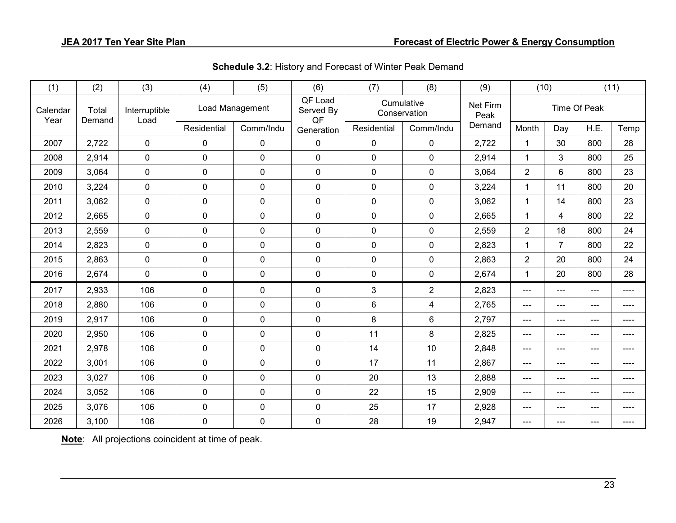| (1)              | (2)             | (3)                   | (4)          | (5)             | (6)                        | (7)         | (8)                        | (9)              |                | (10)                    |              | (11)  |
|------------------|-----------------|-----------------------|--------------|-----------------|----------------------------|-------------|----------------------------|------------------|----------------|-------------------------|--------------|-------|
| Calendar<br>Year | Total<br>Demand | Interruptible<br>Load |              | Load Management | QF Load<br>Served By<br>QF |             | Cumulative<br>Conservation | Net Firm<br>Peak |                |                         | Time Of Peak |       |
|                  |                 |                       | Residential  | Comm/Indu       | Generation                 | Residential | Comm/Indu                  | Demand           | Month          | Day                     | H.E.         | Temp  |
| 2007             | 2,722           | $\mathbf 0$           | $\mathbf 0$  | $\pmb{0}$       | $\mathbf 0$                | $\mathbf 0$ | $\mathbf 0$                | 2,722            | 1              | 30                      | 800          | 28    |
| 2008             | 2,914           | $\mathbf 0$           | $\mathbf 0$  | $\pmb{0}$       | $\mathbf 0$                | $\mathbf 0$ | $\mathbf 0$                | 2,914            | $\mathbf{1}$   | $\mathfrak{B}$          | 800          | 25    |
| 2009             | 3,064           | $\pmb{0}$             | $\mathbf 0$  | $\pmb{0}$       | $\mathbf 0$                | $\mathbf 0$ | $\mathbf 0$                | 3,064            | $\overline{2}$ | $6\phantom{1}$          | 800          | 23    |
| 2010             | 3,224           | $\mathbf 0$           | $\mathbf 0$  | $\mathbf 0$     | $\mathbf 0$                | $\mathbf 0$ | $\mathbf 0$                | 3,224            | 1              | 11                      | 800          | 20    |
| 2011             | 3,062           | $\mathbf 0$           | $\mathbf 0$  | $\pmb{0}$       | $\mathbf 0$                | $\mathbf 0$ | $\mathbf 0$                | 3,062            | $\mathbf{1}$   | 14                      | 800          | 23    |
| 2012             | 2,665           | $\pmb{0}$             | $\mathbf 0$  | $\pmb{0}$       | $\mathbf 0$                | $\mathbf 0$ | $\mathbf 0$                | 2,665            | 1              | $\overline{\mathbf{4}}$ | 800          | 22    |
| 2013             | 2,559           | $\mathbf 0$           | $\mathbf 0$  | $\mathbf 0$     | $\mathbf 0$                | $\mathbf 0$ | $\mathbf 0$                | 2,559            | $\overline{2}$ | 18                      | 800          | 24    |
| 2014             | 2,823           | $\mathbf 0$           | $\mathbf 0$  | $\mathbf 0$     | $\mathbf 0$                | $\mathbf 0$ | $\mathbf 0$                | 2,823            | $\mathbf{1}$   | $\overline{7}$          | 800          | 22    |
| 2015             | 2,863           | $\mathbf 0$           | $\mathbf 0$  | $\mathbf 0$     | $\mathbf 0$                | $\mathbf 0$ | $\mathbf 0$                | 2,863            | $\overline{2}$ | 20                      | 800          | 24    |
| 2016             | 2,674           | $\pmb{0}$             | $\pmb{0}$    | $\pmb{0}$       | $\mathbf 0$                | $\mathbf 0$ | $\mathbf 0$                | 2,674            | $\mathbf 1$    | 20                      | 800          | 28    |
| 2017             | 2,933           | 106                   | $\mathbf{0}$ | 0               | 0                          | 3           | $\overline{2}$             | 2,823            | $---$          | ---                     | ---          | ----  |
| 2018             | 2,880           | 106                   | $\pmb{0}$    | $\pmb{0}$       | $\mathbf 0$                | $\,6\,$     | $\overline{4}$             | 2,765            | $---$          | $---$                   | ---          | $---$ |
| 2019             | 2,917           | 106                   | $\mathbf 0$  | $\pmb{0}$       | $\mathbf 0$                | 8           | 6                          | 2,797            | $---$          | ---                     | ---          | ----  |
| 2020             | 2,950           | 106                   | $\mathbf 0$  | $\pmb{0}$       | $\mathbf 0$                | 11          | 8                          | 2,825            | ---            | ---                     | ---          | ----  |
| 2021             | 2,978           | 106                   | $\mathbf 0$  | $\pmb{0}$       | $\mathbf 0$                | 14          | 10                         | 2,848            | ---            | ---                     | ---          | ----  |
| 2022             | 3,001           | 106                   | $\mathbf 0$  | $\pmb{0}$       | $\mathbf 0$                | 17          | 11                         | 2,867            | ---            | ---                     | ---          | ----  |
| 2023             | 3,027           | 106                   | $\mathbf 0$  | $\pmb{0}$       | $\mathbf 0$                | 20          | 13                         | 2,888            | ---            | ---                     | ---          | ----  |
| 2024             | 3,052           | 106                   | $\mathbf 0$  | $\pmb{0}$       | $\Omega$                   | 22          | 15                         | 2,909            | $---$          | ---                     | ---          | ----  |
| 2025             | 3,076           | 106                   | $\mathbf 0$  | $\pmb{0}$       | $\mathbf 0$                | 25          | 17                         | 2,928            | ---            | ---                     | ---          | ----  |
| 2026             | 3,100           | 106                   | $\mathbf 0$  | $\mathbf 0$     | 0                          | 28          | 19                         | 2,947            | $---$          | ---                     | ---          | ----  |

**Schedule 3.2**: History and Forecast of Winter Peak Demand

**Note**: All projections coincident at time of peak.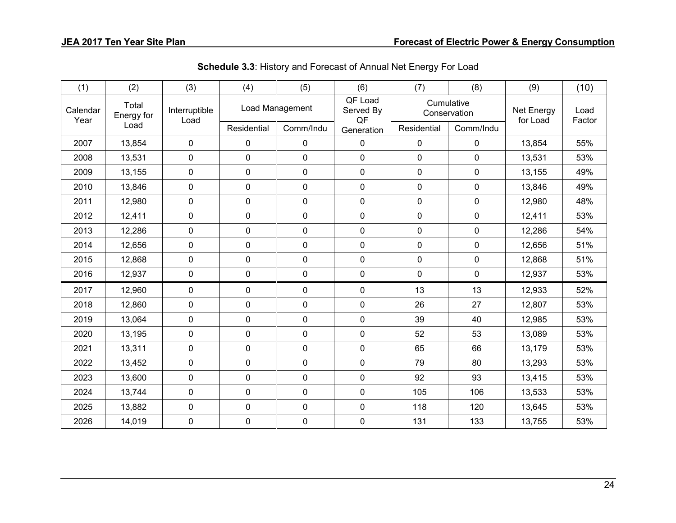| (1)              | (2)                 | (3)                   | (4)            | (5)             | (6)                        | (7)                        | (8)         | (9)                    | (10)           |
|------------------|---------------------|-----------------------|----------------|-----------------|----------------------------|----------------------------|-------------|------------------------|----------------|
| Calendar<br>Year | Total<br>Energy for | Interruptible<br>Load |                | Load Management | QF Load<br>Served By<br>QF | Cumulative<br>Conservation |             | Net Energy<br>for Load | Load<br>Factor |
|                  | Load                |                       | Residential    | Comm/Indu       | Generation                 | Residential                | Comm/Indu   |                        |                |
| 2007             | 13,854              | $\mathbf 0$           | 0              | 0               | 0                          | 0                          | $\mathbf 0$ | 13,854                 | 55%            |
| 2008             | 13,531              | $\mathbf 0$           | 0              | 0               | 0                          | $\mathbf 0$                | $\mathbf 0$ | 13,531                 | 53%            |
| 2009             | 13,155              | $\pmb{0}$             | 0              | 0               | 0                          | 0                          | $\mathbf 0$ | 13,155                 | 49%            |
| 2010             | 13,846              | $\mathbf 0$           | 0              | 0               | 0                          | 0                          | $\mathbf 0$ | 13,846                 | 49%            |
| 2011             | 12,980              | $\mathbf 0$           | 0              | 0               | 0                          | 0                          | $\mathbf 0$ | 12,980                 | 48%            |
| 2012             | 12,411              | $\mathbf 0$           | 0              | 0               | 0                          | $\mathbf 0$                | $\mathbf 0$ | 12,411                 | 53%            |
| 2013             | 12,286              | $\mathbf 0$           | 0              | 0               | 0                          | 0                          | $\mathbf 0$ | 12,286                 | 54%            |
| 2014             | 12,656              | $\mathbf 0$           | 0              | 0               | 0                          | 0                          | $\mathbf 0$ | 12,656                 | 51%            |
| 2015             | 12,868              | $\mathbf 0$           | 0              | 0               | 0                          | 0                          | $\mathbf 0$ | 12,868                 | 51%            |
| 2016             | 12,937              | $\mathbf 0$           | 0              | 0               | $\pmb{0}$                  | $\mathbf 0$                | $\mathbf 0$ | 12,937                 | 53%            |
| 2017             | 12,960              | $\mathbf 0$           | 0              | 0               | 0                          | 13                         | 13          | 12,933                 | 52%            |
| 2018             | 12,860              | $\mathbf 0$           | 0              | 0               | 0                          | 26                         | 27          | 12,807                 | 53%            |
| 2019             | 13,064              | $\mathbf 0$           | 0              | 0               | 0                          | 39                         | 40          | 12,985                 | 53%            |
| 2020             | 13,195              | $\mathbf 0$           | 0              | 0               | $\mathbf 0$                | 52                         | 53          | 13,089                 | 53%            |
| 2021             | 13,311              | $\mathbf 0$           | 0              | 0               | $\mathbf 0$                | 65                         | 66          | 13,179                 | 53%            |
| 2022             | 13,452              | $\mathbf 0$           | 0              | 0               | $\pmb{0}$                  | 79                         | 80          | 13,293                 | 53%            |
| 2023             | 13,600              | $\mathbf 0$           | $\overline{0}$ | 0               | $\mathbf 0$                | 92                         | 93          | 13,415                 | 53%            |
| 2024             | 13,744              | $\mathbf 0$           | 0              | 0               | 0                          | 105                        | 106         | 13,533                 | 53%            |
| 2025             | 13,882              | $\mathbf 0$           | 0              | 0               | $\mathbf 0$                | 118                        | 120         | 13,645                 | 53%            |
| 2026             | 14,019              | $\mathbf 0$           | 0              | 0               | 0                          | 131                        | 133         | 13,755                 | 53%            |

**Schedule 3.3**: History and Forecast of Annual Net Energy For Load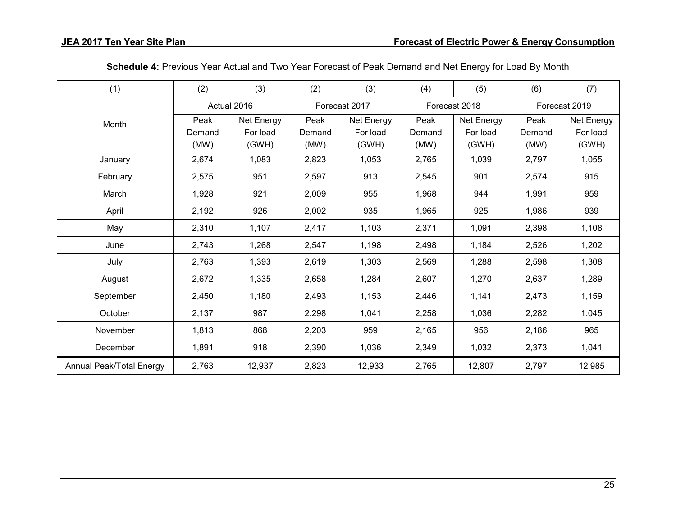| (1)                      | (2)    | (3)         | (2)    | (3)           | (4)    | (5)           | (6)    | (7)           |
|--------------------------|--------|-------------|--------|---------------|--------|---------------|--------|---------------|
|                          |        | Actual 2016 |        | Forecast 2017 |        | Forecast 2018 |        | Forecast 2019 |
| Month                    | Peak   | Net Energy  | Peak   | Net Energy    | Peak   | Net Energy    | Peak   | Net Energy    |
|                          | Demand | For load    | Demand | For load      | Demand | For load      | Demand | For load      |
|                          | (MW)   | (GWH)       | (MW)   | (GWH)         | (MW)   | (GWH)         | (MW)   | (GWH)         |
| January                  | 2,674  | 1,083       | 2,823  | 1,053         | 2,765  | 1,039         | 2,797  | 1,055         |
| February                 | 2,575  | 951         | 2,597  | 913           | 2,545  | 901           | 2,574  | 915           |
| March                    | 1,928  | 921         | 2,009  | 955           | 1,968  | 944           | 1,991  | 959           |
| April                    | 2,192  | 926         | 2,002  | 935           | 1,965  | 925           | 1,986  | 939           |
| May                      | 2,310  | 1,107       | 2,417  | 1,103         | 2,371  | 1,091         | 2,398  | 1,108         |
| June                     | 2,743  | 1,268       | 2,547  | 1,198         | 2,498  | 1,184         | 2,526  | 1,202         |
| July                     | 2,763  | 1,393       | 2,619  | 1,303         | 2,569  | 1,288         | 2,598  | 1,308         |
| August                   | 2,672  | 1,335       | 2,658  | 1,284         | 2,607  | 1,270         | 2,637  | 1,289         |
| September                | 2,450  | 1,180       | 2,493  | 1,153         | 2,446  | 1,141         | 2,473  | 1,159         |
| October                  | 2,137  | 987         | 2,298  | 1,041         | 2,258  | 1,036         | 2,282  | 1,045         |
| November                 | 1,813  | 868         | 2,203  | 959           | 2,165  | 956           | 2,186  | 965           |
| December                 | 1,891  | 918         | 2,390  | 1,036         | 2,349  | 1,032         | 2,373  | 1,041         |
| Annual Peak/Total Energy | 2,763  | 12,937      | 2,823  | 12,933        | 2,765  | 12,807        | 2,797  | 12,985        |

**Schedule 4:** Previous Year Actual and Two Year Forecast of Peak Demand and Net Energy for Load By Month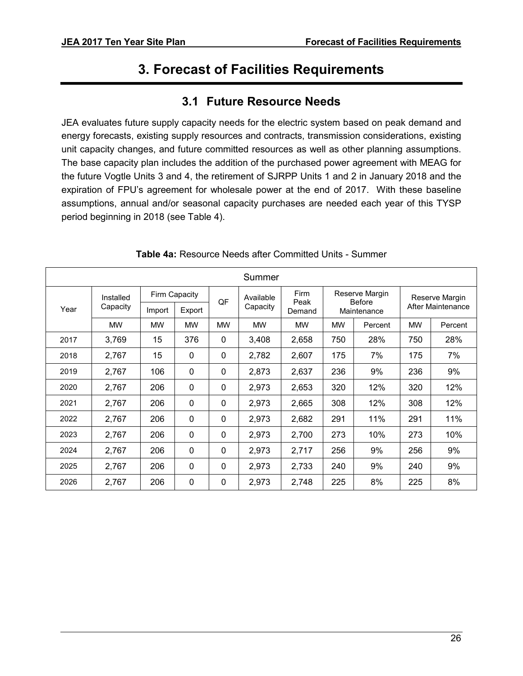# **3. Forecast of Facilities Requirements**

## **3.1 Future Resource Needs**

<span id="page-30-1"></span><span id="page-30-0"></span>JEA evaluates future supply capacity needs for the electric system based on peak demand and energy forecasts, existing supply resources and contracts, transmission considerations, existing unit capacity changes, and future committed resources as well as other planning assumptions. The base capacity plan includes the addition of the purchased power agreement with MEAG for the future Vogtle Units 3 and 4, the retirement of SJRPP Units 1 and 2 in January 2018 and the expiration of FPU's agreement for wholesale power at the end of 2017. With these baseline assumptions, annual and/or seasonal capacity purchases are needed each year of this TYSP period beginning in 2018 (see Table 4).

|      |           |           |               |              | Summer    |              |                      |                                 |           |                   |
|------|-----------|-----------|---------------|--------------|-----------|--------------|----------------------|---------------------------------|-----------|-------------------|
|      | Installed |           | Firm Capacity | QF           | Available | Firm<br>Peak |                      | Reserve Margin<br><b>Before</b> |           | Reserve Margin    |
| Year | Capacity  | Import    | Export        |              | Capacity  | Demand       |                      | Maintenance                     |           | After Maintenance |
|      | <b>MW</b> | <b>MW</b> | <b>MW</b>     | <b>MW</b>    | <b>MW</b> | <b>MW</b>    | <b>MW</b><br>Percent |                                 | <b>MW</b> | Percent           |
| 2017 | 3,769     | 15        | 376           | 0            | 3,408     | 2,658        | 750                  | 28%                             | 750       | 28%               |
| 2018 | 2,767     | 15        | 0             | 0            | 2,782     | 2,607        | 175                  | 7%                              | 175       | 7%                |
| 2019 | 2,767     | 106       | 0             | $\mathbf{0}$ | 2,873     | 2,637        | 236                  | 9%                              | 236       | 9%                |
| 2020 | 2,767     | 206       | $\mathbf 0$   | 0            | 2,973     | 2,653        | 320                  | 12%                             | 320       | 12%               |
| 2021 | 2,767     | 206       | $\mathbf 0$   | 0            | 2,973     | 2,665        | 308                  | 12%                             | 308       | 12%               |
| 2022 | 2,767     | 206       | 0             | 0            | 2,973     | 2,682        | 291                  | 11%                             | 291       | 11%               |
| 2023 | 2,767     | 206       | $\mathbf{0}$  | $\Omega$     | 2,973     | 2,700        | 273                  | 10%                             | 273       | 10%               |
| 2024 | 2,767     | 206       | $\mathbf 0$   | $\mathbf 0$  | 2,973     | 2,717        | 256                  | 9%                              | 256       | 9%                |
| 2025 | 2,767     | 206       | $\mathbf 0$   | 0            | 2,973     | 2,733        | 240                  | 9%                              | 240       | 9%                |
| 2026 | 2,767     | 206       | $\mathbf{0}$  | 0            | 2,973     | 2,748        | 225                  | 8%                              | 225       | 8%                |

#### **Table 4a:** Resource Needs after Committed Units - Summer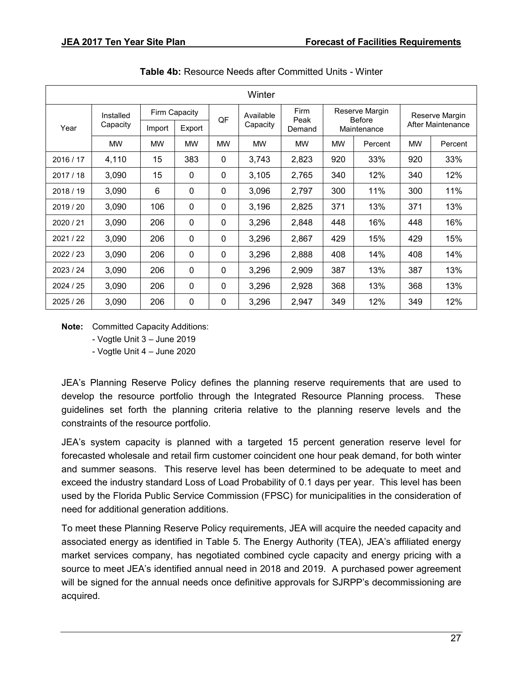|           |           |           |               |             | Winter    |              |           |                                 |           |                   |
|-----------|-----------|-----------|---------------|-------------|-----------|--------------|-----------|---------------------------------|-----------|-------------------|
|           | Installed |           | Firm Capacity | QF          | Available | Firm<br>Peak |           | Reserve Margin<br><b>Before</b> |           | Reserve Margin    |
| Year      | Capacity  | Import    | Export        |             | Capacity  | Demand       |           | Maintenance                     |           | After Maintenance |
|           | <b>MW</b> | <b>MW</b> | <b>MW</b>     | <b>MW</b>   | <b>MW</b> | <b>MW</b>    | <b>MW</b> | Percent                         | <b>MW</b> | Percent           |
| 2016 / 17 | 4,110     | 15        | 383           | $\mathbf 0$ | 3,743     | 2,823        | 920       | 33%                             | 920       | 33%               |
| 2017/18   | 3,090     | 15        | 0             | $\mathbf 0$ | 3,105     | 2,765        | 340       | 12%                             | 340       | 12%               |
| 2018/19   | 3,090     | 6         | $\mathbf 0$   | $\mathbf 0$ | 3,096     | 2,797        | 300       | 11%                             | 300       | 11%               |
| 2019/20   | 3,090     | 106       | $\mathbf 0$   | $\mathbf 0$ | 3,196     | 2,825        | 371       | 13%                             | 371       | 13%               |
| 2020 / 21 | 3,090     | 206       | $\mathbf 0$   | $\mathbf 0$ | 3,296     | 2,848        | 448       | 16%                             | 448       | 16%               |
| 2021/22   | 3,090     | 206       | $\mathbf{0}$  | $\mathbf 0$ | 3,296     | 2,867        | 429       | 15%                             | 429       | 15%               |
| 2022/23   | 3,090     | 206       | $\mathbf 0$   | $\Omega$    | 3,296     | 2,888        | 408       | 14%                             | 408       | 14%               |
| 2023/24   | 3,090     | 206       | $\mathbf 0$   | $\mathbf 0$ | 3,296     | 2,909        | 387       | 13%                             | 387       | 13%               |
| 2024/25   | 3,090     | 206       | $\mathbf 0$   | $\mathbf 0$ | 3,296     | 2,928        | 368       | 13%                             | 368       | 13%               |
| 2025/26   | 3,090     | 206       | $\mathbf 0$   | $\mathbf 0$ | 3,296     | 2,947        | 349       | 12%                             | 349       | 12%               |

**Table 4b:** Resource Needs after Committed Units - Winter

**Note:** Committed Capacity Additions:

- Vogtle Unit 3 – June 2019

- Vogtle Unit 4 – June 2020

JEA's Planning Reserve Policy defines the planning reserve requirements that are used to develop the resource portfolio through the Integrated Resource Planning process. These guidelines set forth the planning criteria relative to the planning reserve levels and the constraints of the resource portfolio.

JEA's system capacity is planned with a targeted 15 percent generation reserve level for forecasted wholesale and retail firm customer coincident one hour peak demand, for both winter and summer seasons. This reserve level has been determined to be adequate to meet and exceed the industry standard Loss of Load Probability of 0.1 days per year. This level has been used by the Florida Public Service Commission (FPSC) for municipalities in the consideration of need for additional generation additions.

To meet these Planning Reserve Policy requirements, JEA will acquire the needed capacity and associated energy as identified in Table 5. The Energy Authority (TEA), JEA's affiliated energy market services company, has negotiated combined cycle capacity and energy pricing with a source to meet JEA's identified annual need in 2018 and 2019. A purchased power agreement will be signed for the annual needs once definitive approvals for SJRPP's decommissioning are acquired.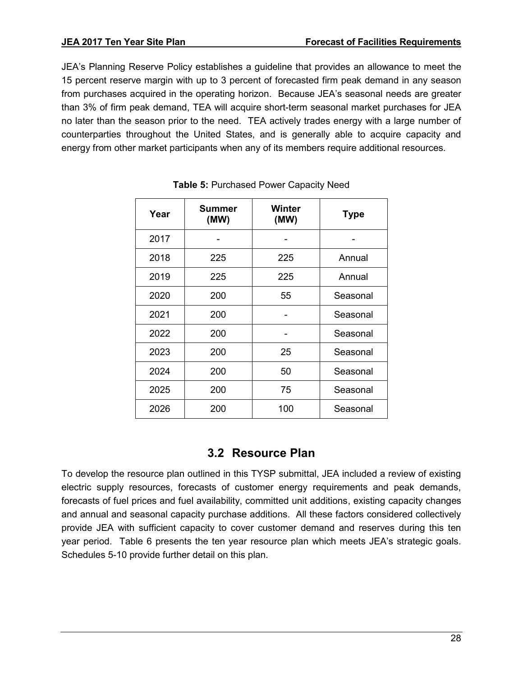JEA's Planning Reserve Policy establishes a guideline that provides an allowance to meet the 15 percent reserve margin with up to 3 percent of forecasted firm peak demand in any season from purchases acquired in the operating horizon. Because JEA's seasonal needs are greater than 3% of firm peak demand, TEA will acquire short-term seasonal market purchases for JEA no later than the season prior to the need. TEA actively trades energy with a large number of counterparties throughout the United States, and is generally able to acquire capacity and energy from other market participants when any of its members require additional resources.

| Year | Summer<br>(MW) | Winter<br>(MW) | <b>Type</b> |
|------|----------------|----------------|-------------|
| 2017 |                |                |             |
| 2018 | 225            | 225            | Annual      |
| 2019 | 225            | 225            | Annual      |
| 2020 | 200            | 55             | Seasonal    |
| 2021 | 200            |                | Seasonal    |
| 2022 | 200            |                | Seasonal    |
| 2023 | 200            | 25             | Seasonal    |
| 2024 | 200            | 50             | Seasonal    |
| 2025 | 200            | 75             | Seasonal    |
| 2026 | 200            | 100            | Seasonal    |

#### **Table 5:** Purchased Power Capacity Need

#### **3.2 Resource Plan**

<span id="page-32-0"></span>To develop the resource plan outlined in this TYSP submittal, JEA included a review of existing electric supply resources, forecasts of customer energy requirements and peak demands, forecasts of fuel prices and fuel availability, committed unit additions, existing capacity changes and annual and seasonal capacity purchase additions. All these factors considered collectively provide JEA with sufficient capacity to cover customer demand and reserves during this ten year period. Table 6 presents the ten year resource plan which meets JEA's strategic goals. Schedules 5-10 provide further detail on this plan.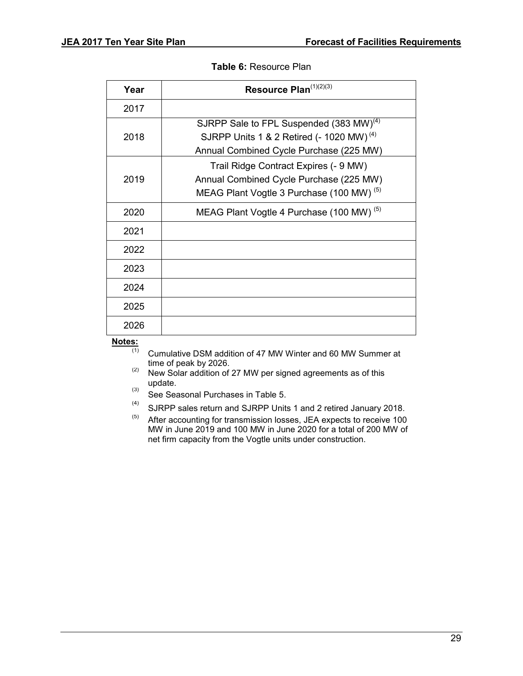#### **Table 6:** Resource Plan

| Year | Resource Plan(1)(2)(3)                                                                                                                                 |
|------|--------------------------------------------------------------------------------------------------------------------------------------------------------|
| 2017 |                                                                                                                                                        |
| 2018 | SJRPP Sale to FPL Suspended (383 MW) <sup>(4)</sup><br>SJRPP Units 1 & 2 Retired (- 1020 MW) <sup>(4)</sup><br>Annual Combined Cycle Purchase (225 MW) |
| 2019 | Trail Ridge Contract Expires (- 9 MW)<br>Annual Combined Cycle Purchase (225 MW)<br>MEAG Plant Vogtle 3 Purchase (100 MW) <sup>(5)</sup>               |
| 2020 | MEAG Plant Vogtle 4 Purchase (100 MW) <sup>(5)</sup>                                                                                                   |
| 2021 |                                                                                                                                                        |
| 2022 |                                                                                                                                                        |
| 2023 |                                                                                                                                                        |
| 2024 |                                                                                                                                                        |
| 2025 |                                                                                                                                                        |
| 2026 |                                                                                                                                                        |

# **Notes:**

- Cumulative DSM addition of 47 MW Winter and 60 MW Summer at time of peak by 2026.
- $(2)$  New Solar addition of 27 MW per signed agreements as of this update.
- (3) See Seasonal Purchases in Table 5.
- (4) SJRPP sales return and SJRPP Units 1 and 2 retired January 2018.
- (5) After accounting for transmission losses, JEA expects to receive 100 MW in June 2019 and 100 MW in June 2020 for a total of 200 MW of net firm capacity from the Vogtle units under construction.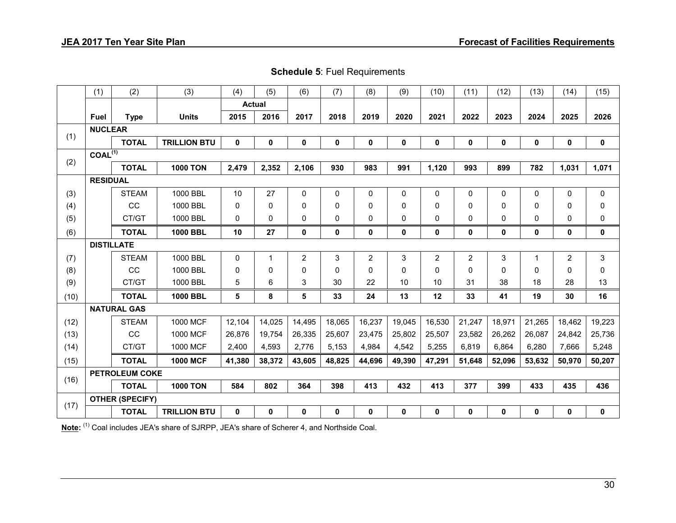**Schedule 5**: Fuel Requirements

|      | (1)               | (2)                    | (3)                 | (4)         | (5)           | (6)            | (7)          | (8)            | (9)       | (10)           | (11)         | (12)        | (13)         | (14)           | (15)         |
|------|-------------------|------------------------|---------------------|-------------|---------------|----------------|--------------|----------------|-----------|----------------|--------------|-------------|--------------|----------------|--------------|
|      |                   |                        |                     |             | <b>Actual</b> |                |              |                |           |                |              |             |              |                |              |
|      | <b>Fuel</b>       | <b>Type</b>            | <b>Units</b>        | 2015        | 2016          | 2017           | 2018         | 2019           | 2020      | 2021           | 2022         | 2023        | 2024         | 2025           | 2026         |
| (1)  | <b>NUCLEAR</b>    |                        |                     |             |               |                |              |                |           |                |              |             |              |                |              |
|      |                   | <b>TOTAL</b>           | <b>TRILLION BTU</b> | $\mathbf 0$ | $\pmb{0}$     | $\mathbf 0$    | $\mathbf 0$  | $\mathbf 0$    | $\pmb{0}$ | $\mathbf 0$    | $\mathbf 0$  | $\mathbf 0$ | $\mathbf 0$  | $\pmb{0}$      | $\mathbf 0$  |
| (2)  | $COAL^{(1)}$      |                        |                     |             |               |                |              |                |           |                |              |             |              |                |              |
|      |                   | <b>TOTAL</b>           | <b>1000 TON</b>     | 2,479       | 2,352         | 2,106          | 930          | 983            | 991       | 1,120          | 993          | 899         | 782          | 1,031          | 1,071        |
|      | <b>RESIDUAL</b>   |                        |                     |             |               |                |              |                |           |                |              |             |              |                |              |
| (3)  |                   | <b>STEAM</b>           | 1000 BBL            | 10          | 27            | 0              | 0            | 0              | 0         | $\mathbf{0}$   | 0            | 0           | 0            | $\mathbf 0$    | $\mathbf{0}$ |
| (4)  |                   | CC                     | 1000 BBL            | 0           | $\mathbf 0$   | 0              | $\mathbf{0}$ | 0              | 0         | $\Omega$       | $\Omega$     | $\Omega$    | 0            | 0              | $\Omega$     |
| (5)  |                   | CT/GT                  | 1000 BBL            | 0           | $\mathbf 0$   | 0              | $\mathbf 0$  | 0              | 0         | $\mathbf 0$    | $\mathbf{0}$ | 0           | 0            | $\mathbf 0$    | 0            |
| (6)  |                   | <b>TOTAL</b>           | <b>1000 BBL</b>     | 10          | 27            | 0              | 0            | 0              | 0         | 0              | 0            | 0           | $\mathbf 0$  | $\mathbf 0$    | $\mathbf 0$  |
|      | <b>DISTILLATE</b> |                        |                     |             |               |                |              |                |           |                |              |             |              |                |              |
| (7)  |                   | <b>STEAM</b>           | 1000 BBL            | 0           | $\mathbf{1}$  | $\overline{2}$ | 3            | $\overline{2}$ | 3         | $\overline{2}$ | $\mathbf{2}$ | 3           | $\mathbf{1}$ | $\overline{2}$ | 3            |
| (8)  |                   | CC                     | 1000 BBL            | 0           | $\mathbf 0$   | 0              | $\mathbf{0}$ | 0              | 0         | $\Omega$       | $\mathbf{0}$ | $\Omega$    | 0            | 0              | $\Omega$     |
| (9)  |                   | CT/GT                  | 1000 BBL            | 5           | 6             | 3              | 30           | 22             | 10        | 10             | 31           | 38          | 18           | 28             | 13           |
| (10) |                   | <b>TOTAL</b>           | 1000 BBL            | 5           | 8             | 5              | 33           | 24             | 13        | 12             | 33           | 41          | 19           | 30             | 16           |
|      |                   | <b>NATURAL GAS</b>     |                     |             |               |                |              |                |           |                |              |             |              |                |              |
| (12) |                   | <b>STEAM</b>           | 1000 MCF            | 12,104      | 14,025        | 14,495         | 18,065       | 16,237         | 19,045    | 16,530         | 21,247       | 18,971      | 21,265       | 18,462         | 19,223       |
| (13) |                   | cc                     | 1000 MCF            | 26,876      | 19,754        | 26,335         | 25,607       | 23,475         | 25,802    | 25,507         | 23,582       | 26,262      | 26,087       | 24,842         | 25,736       |
| (14) |                   | CT/GT                  | 1000 MCF            | 2,400       | 4,593         | 2,776          | 5,153        | 4.984          | 4,542     | 5,255          | 6,819        | 6.864       | 6,280        | 7,666          | 5,248        |
| (15) |                   | <b>TOTAL</b>           | <b>1000 MCF</b>     | 41,380      | 38,372        | 43,605         | 48,825       | 44,696         | 49,390    | 47,291         | 51,648       | 52,096      | 53,632       | 50,970         | 50,207       |
|      |                   | <b>PETROLEUM COKE</b>  |                     |             |               |                |              |                |           |                |              |             |              |                |              |
| (16) |                   | <b>TOTAL</b>           | <b>1000 TON</b>     | 584         | 802           | 364            | 398          | 413            | 432       | 413            | 377          | 399         | 433          | 435            | 436          |
|      |                   | <b>OTHER (SPECIFY)</b> |                     |             |               |                |              |                |           |                |              |             |              |                |              |
| (17) |                   | <b>TOTAL</b>           | <b>TRILLION BTU</b> | $\mathbf 0$ | $\mathbf 0$   | 0              | $\mathbf 0$  | 0              | 0         | 0              | 0            | $\mathbf 0$ | $\mathbf{0}$ | $\mathbf 0$    | $\mathbf 0$  |

Note: (1) Coal includes JEA's share of SJRPP, JEA's share of Scherer 4, and Northside Coal.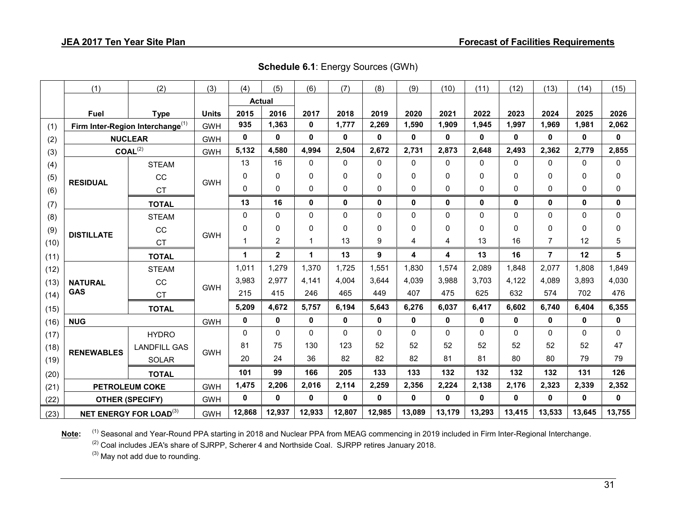|      | (1)                            | (2)                                          | (3)          | (4)                  | (5)          | (6)          | (7)         | (8)          | (9)          | (10)         | (11)         | (12)         | (13)           | (14)         | (15)     |
|------|--------------------------------|----------------------------------------------|--------------|----------------------|--------------|--------------|-------------|--------------|--------------|--------------|--------------|--------------|----------------|--------------|----------|
|      |                                |                                              |              | <b>Actual</b>        |              |              |             |              |              |              |              |              |                |              |          |
|      | <b>Fuel</b>                    | <b>Type</b>                                  | <b>Units</b> | 2015                 | 2016         | 2017         | 2018        | 2019         | 2020         | 2021         | 2022         | 2023         | 2024           | 2025         | 2026     |
| (1)  |                                | Firm Inter-Region Interchange <sup>(1)</sup> | <b>GWH</b>   | 935                  | 1,363        | $\mathbf 0$  | 1,777       | 2,269        | 1,590        | 1,909        | 1,945        | 1,997        | 1,969          | 1,981        | 2,062    |
| (2)  |                                | <b>NUCLEAR</b>                               | <b>GWH</b>   | $\mathbf 0$          | 0            | 0            | $\mathbf 0$ | 0            | 0            | $\mathbf{0}$ | 0            | 0            | 0              | 0            | 0        |
| (3)  |                                | COAL <sup>(2)</sup>                          | <b>GWH</b>   | 5,132                | 4,580        | 4,994        | 2,504       | 2,672        | 2,731        | 2,873        | 2,648        | 2,493        | 2,362          | 2,779        | 2,855    |
| (4)  |                                | <b>STEAM</b>                                 |              | 13                   | 16           | 0            | 0           | $\mathbf 0$  | 0            | 0            | $\mathbf{0}$ | 0            | 0              | $\Omega$     | 0        |
| (5)  | <b>RESIDUAL</b>                | CC                                           | <b>GWH</b>   | 0                    | $\mathbf{0}$ | 0            | 0           | 0            | $\Omega$     | $\mathbf{0}$ | 0            | 0            | 0              | 0            | 0        |
| (6)  |                                | <b>CT</b>                                    |              | 0                    | $\mathbf{0}$ | 0            | 0           | 0            | 0            | $\mathbf{0}$ | 0            | 0            | 0              | 0            | 0        |
| (7)  |                                | <b>TOTAL</b>                                 |              | 13                   | 16           | 0            | $\mathbf 0$ | $\mathbf 0$  | 0            | $\mathbf{0}$ | $\mathbf 0$  | 0            | $\mathbf 0$    | $\mathbf 0$  | 0        |
| (8)  |                                | <b>STEAM</b>                                 |              | $\mathbf{0}$         | $\Omega$     | $\Omega$     | $\mathbf 0$ | $\mathbf 0$  | $\Omega$     | $\mathbf{0}$ | $\mathbf{0}$ | $\Omega$     | 0              | $\mathbf{0}$ | 0        |
| (9)  |                                | CC                                           |              | $\Omega$             | 0            | 0            | 0           | 0            | 0            | $\mathbf 0$  | $\Omega$     | 0            | 0              | 0            | $\Omega$ |
| (10) | <b>DISTILLATE</b><br><b>CT</b> |                                              | <b>GWH</b>   | 1                    | 2            | 1            | 13          | 9            | 4            | 4            | 13           | 16           | $\overline{7}$ | 12           | 5        |
| (11) |                                | <b>TOTAL</b>                                 |              | $\blacktriangleleft$ | $\mathbf{2}$ | $\mathbf{1}$ | 13          | 9            | 4            | 4            | 13           | 16           | $\overline{7}$ | 12           | 5        |
| (12) |                                | <b>STEAM</b>                                 |              | 1,011                | 1,279        | 1,370        | 1,725       | 1,551        | 1,830        | 1,574        | 2,089        | 1,848        | 2,077          | 1,808        | 1,849    |
| (13) | <b>NATURAL</b>                 | CC                                           |              | 3,983                | 2,977        | 4,141        | 4,004       | 3,644        | 4,039        | 3,988        | 3,703        | 4,122        | 4,089          | 3,893        | 4,030    |
| (14) | <b>GAS</b>                     | <b>CT</b>                                    | <b>GWH</b>   | 215                  | 415          | 246          | 465         | 449          | 407          | 475          | 625          | 632          | 574            | 702          | 476      |
| (15) |                                | <b>TOTAL</b>                                 |              | 5,209                | 4,672        | 5,757        | 6,194       | 5,643        | 6,276        | 6,037        | 6,417        | 6,602        | 6,740          | 6,404        | 6,355    |
| (16) | <b>NUG</b>                     |                                              | <b>GWH</b>   | $\mathbf{0}$         | $\mathbf{0}$ | $\mathbf{0}$ | $\mathbf 0$ | $\mathbf{0}$ | $\mathbf{0}$ | $\mathbf{0}$ | $\mathbf{0}$ | $\mathbf{0}$ | $\mathbf 0$    | $\mathbf{0}$ | 0        |
| (17) |                                | <b>HYDRO</b>                                 |              | $\Omega$             | $\mathbf{0}$ | 0            | $\mathbf 0$ | $\mathbf 0$  | $\Omega$     | $\mathbf{0}$ | $\mathbf{0}$ | 0            | 0              | $\mathbf{0}$ | 0        |
| (18) |                                | <b>LANDFILL GAS</b>                          |              | 81                   | 75           | 130          | 123         | 52           | 52           | 52           | 52           | 52           | 52             | 52           | 47       |
| (19) | <b>RENEWABLES</b><br>SOLAR     |                                              | <b>GWH</b>   | 20                   | 24           | 36           | 82          | 82           | 82           | 81           | 81           | 80           | 80             | 79           | 79       |
| (20) | <b>TOTAL</b>                   |                                              |              | 101                  | 99           | 166          | 205         | 133          | 133          | 132          | 132          | 132          | 132            | 131          | 126      |
| (21) |                                | <b>PETROLEUM COKE</b>                        | <b>GWH</b>   | 1,475                | 2,206        | 2,016        | 2,114       | 2,259        | 2,356        | 2,224        | 2,138        | 2,176        | 2,323          | 2,339        | 2,352    |
| (22) | <b>OTHER (SPECIFY)</b>         |                                              | <b>GWH</b>   | $\mathbf{0}$         | 0            | 0            | $\mathbf 0$ | $\mathbf{0}$ | 0            | 0            | $\mathbf{0}$ | 0            | $\mathbf 0$    | $\mathbf{0}$ | 0        |
| (23) | <b>NET ENERGY FOR LOAD(3)</b>  |                                              | <b>GWH</b>   | 12,868               | 12,937       | 12,933       | 12,807      | 12,985       | 13,089       | 13,179       | 13,293       | 13,415       | 13,533         | 13,645       | 13,755   |

**Schedule 6.1**: Energy Sources (GWh)

Note: (1) Seasonal and Year-Round PPA starting in 2018 and Nuclear PPA from MEAG commencing in 2019 included in Firm Inter-Regional Interchange.

<sup>(2)</sup> Coal includes JEA's share of SJRPP, Scherer 4 and Northside Coal. SJRPP retires January 2018.

(3) May not add due to rounding.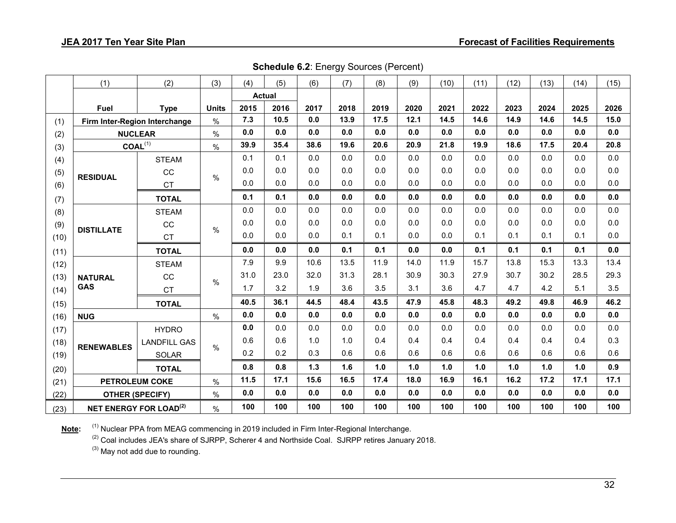| <b>Schedule 6.2: Energy Sources (Percent)</b> |  |
|-----------------------------------------------|--|
|-----------------------------------------------|--|

|      | (1)                           | (2)                 | (3)           | (4)           | (5)  | (6)  | (7)  | (8)  | (9)  | (10) | (11) | (12) | (13) | (14) | (15) |
|------|-------------------------------|---------------------|---------------|---------------|------|------|------|------|------|------|------|------|------|------|------|
|      |                               |                     |               | <b>Actual</b> |      |      |      |      |      |      |      |      |      |      |      |
|      | <b>Fuel</b>                   | <b>Type</b>         | <b>Units</b>  | 2015          | 2016 | 2017 | 2018 | 2019 | 2020 | 2021 | 2022 | 2023 | 2024 | 2025 | 2026 |
| (1)  | Firm Inter-Region Interchange |                     | $\%$          | 7.3           | 10.5 | 0.0  | 13.9 | 17.5 | 12.1 | 14.5 | 14.6 | 14.9 | 14.6 | 14.5 | 15.0 |
| (2)  | <b>NUCLEAR</b>                |                     | $\frac{0}{0}$ | 0.0           | 0.0  | 0.0  | 0.0  | 0.0  | 0.0  | 0.0  | 0.0  | 0.0  | 0.0  | 0.0  | 0.0  |
| (3)  | $COAL^{(1)}$                  |                     | $\%$          | 39.9          | 35.4 | 38.6 | 19.6 | 20.6 | 20.9 | 21.8 | 19.9 | 18.6 | 17.5 | 20.4 | 20.8 |
| (4)  |                               | <b>STEAM</b>        |               | 0.1           | 0.1  | 0.0  | 0.0  | 0.0  | 0.0  | 0.0  | 0.0  | 0.0  | 0.0  | 0.0  | 0.0  |
| (5)  | <b>RESIDUAL</b>               | CC                  | $\frac{0}{0}$ | 0.0           | 0.0  | 0.0  | 0.0  | 0.0  | 0.0  | 0.0  | 0.0  | 0.0  | 0.0  | 0.0  | 0.0  |
| (6)  | <b>CT</b>                     |                     |               | 0.0           | 0.0  | 0.0  | 0.0  | 0.0  | 0.0  | 0.0  | 0.0  | 0.0  | 0.0  | 0.0  | 0.0  |
| (7)  | <b>TOTAL</b>                  |                     |               | 0.1           | 0.1  | 0.0  | 0.0  | 0.0  | 0.0  | 0.0  | 0.0  | 0.0  | 0.0  | 0.0  | 0.0  |
| (8)  |                               | <b>STEAM</b>        |               | 0.0           | 0.0  | 0.0  | 0.0  | 0.0  | 0.0  | 0.0  | 0.0  | 0.0  | 0.0  | 0.0  | 0.0  |
| (9)  | <b>DISTILLATE</b>             | CC                  | $\frac{0}{0}$ | 0.0           | 0.0  | 0.0  | 0.0  | 0.0  | 0.0  | 0.0  | 0.0  | 0.0  | 0.0  | 0.0  | 0.0  |
| (10) |                               | <b>CT</b>           |               | 0.0           | 0.0  | 0.0  | 0.1  | 0.1  | 0.0  | 0.0  | 0.1  | 0.1  | 0.1  | 0.1  | 0.0  |
| (11) |                               | <b>TOTAL</b>        |               | 0.0           | 0.0  | 0.0  | 0.1  | 0.1  | 0.0  | 0.0  | 0.1  | 0.1  | 0.1  | 0.1  | 0.0  |
| (12) |                               | <b>STEAM</b>        |               | 7.9           | 9.9  | 10.6 | 13.5 | 11.9 | 14.0 | 11.9 | 15.7 | 13.8 | 15.3 | 13.3 | 13.4 |
| (13) | <b>NATURAL</b>                | CC                  | $\frac{0}{0}$ | 31.0          | 23.0 | 32.0 | 31.3 | 28.1 | 30.9 | 30.3 | 27.9 | 30.7 | 30.2 | 28.5 | 29.3 |
| (14) | <b>GAS</b>                    | <b>CT</b>           |               | 1.7           | 3.2  | 1.9  | 3.6  | 3.5  | 3.1  | 3.6  | 4.7  | 4.7  | 4.2  | 5.1  | 3.5  |
| (15) |                               | <b>TOTAL</b>        |               | 40.5          | 36.1 | 44.5 | 48.4 | 43.5 | 47.9 | 45.8 | 48.3 | 49.2 | 49.8 | 46.9 | 46.2 |
| (16) | <b>NUG</b>                    |                     | $\%$          | 0.0           | 0.0  | 0.0  | 0.0  | 0.0  | 0.0  | 0.0  | 0.0  | 0.0  | 0.0  | 0.0  | 0.0  |
| (17) |                               | <b>HYDRO</b>        |               | 0.0           | 0.0  | 0.0  | 0.0  | 0.0  | 0.0  | 0.0  | 0.0  | 0.0  | 0.0  | 0.0  | 0.0  |
| (18) | <b>RENEWABLES</b>             | <b>LANDFILL GAS</b> | $\%$          | 0.6           | 0.6  | 1.0  | 1.0  | 0.4  | 0.4  | 0.4  | 0.4  | 0.4  | 0.4  | 0.4  | 0.3  |
| (19) |                               | <b>SOLAR</b>        |               | 0.2           | 0.2  | 0.3  | 0.6  | 0.6  | 0.6  | 0.6  | 0.6  | 0.6  | 0.6  | 0.6  | 0.6  |
| (20) |                               | <b>TOTAL</b>        |               | 0.8           | 0.8  | 1.3  | 1.6  | 1.0  | 1.0  | 1.0  | 1.0  | 1.0  | 1.0  | 1.0  | 0.9  |
| (21) | <b>PETROLEUM COKE</b>         |                     | $\%$          | 11.5          | 17.1 | 15.6 | 16.5 | 17.4 | 18.0 | 16.9 | 16.1 | 16.2 | 17.2 | 17.1 | 17.1 |
| (22) | <b>OTHER (SPECIFY)</b>        |                     | $\%$          | 0.0           | 0.0  | 0.0  | 0.0  | 0.0  | 0.0  | 0.0  | 0.0  | 0.0  | 0.0  | 0.0  | 0.0  |
| (23) | <b>NET ENERGY FOR LOAD(2)</b> |                     | $\%$          | 100           | 100  | 100  | 100  | 100  | 100  | 100  | 100  | 100  | 100  | 100  | 100  |

Note: <sup>(1)</sup> Nuclear PPA from MEAG commencing in 2019 included in Firm Inter-Regional Interchange.

<sup>(2)</sup> Coal includes JEA's share of SJRPP, Scherer 4 and Northside Coal. SJRPP retires January 2018.

(3) May not add due to rounding.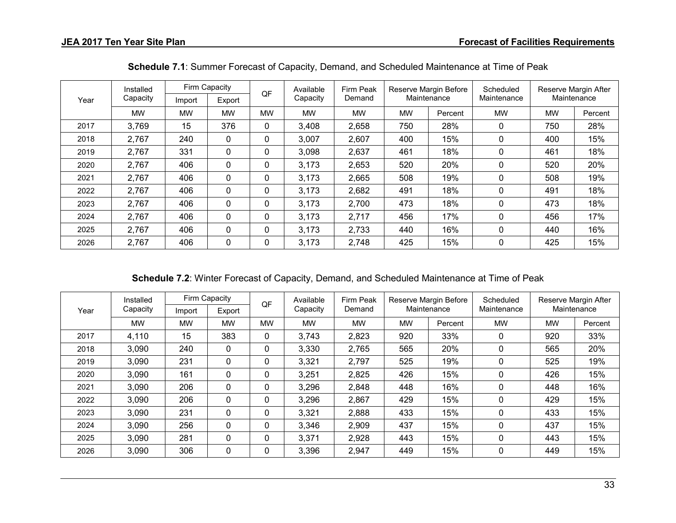| Installed |           |           | Firm Capacity | QF        | Available | Firm Peak |           | Reserve Margin Before | Scheduled   |           | Reserve Margin After |
|-----------|-----------|-----------|---------------|-----------|-----------|-----------|-----------|-----------------------|-------------|-----------|----------------------|
| Year      | Capacity  | Import    | Export        |           | Capacity  | Demand    |           | Maintenance           | Maintenance |           | Maintenance          |
|           | <b>MW</b> | <b>MW</b> | <b>MW</b>     | <b>MW</b> | <b>MW</b> | <b>MW</b> | <b>MW</b> | Percent               | <b>MW</b>   | <b>MW</b> | Percent              |
| 2017      | 3,769     | 15        | 376           | 0         | 3,408     | 2,658     | 750       | 28%                   | 0           | 750       | 28%                  |
| 2018      | 2,767     | 240       | 0             | 0         | 3,007     | 2,607     | 400       | 15%                   | 0           | 400       | 15%                  |
| 2019      | 2,767     | 331       | $\mathbf 0$   | $\Omega$  | 3,098     | 2,637     | 461       | 18%                   | 0           | 461       | 18%                  |
| 2020      | 2,767     | 406       | $\mathbf 0$   | $\Omega$  | 3,173     | 2,653     | 520       | 20%                   | 0           | 520       | 20%                  |
| 2021      | 2,767     | 406       | 0             | 0         | 3,173     | 2,665     | 508       | 19%                   | 0           | 508       | 19%                  |
| 2022      | 2,767     | 406       | 0             | 0         | 3,173     | 2,682     | 491       | 18%                   | 0           | 491       | 18%                  |
| 2023      | 2,767     | 406       | 0             | 0         | 3,173     | 2,700     | 473       | 18%                   | 0           | 473       | 18%                  |
| 2024      | 2,767     | 406       | $\mathbf 0$   | $\Omega$  | 3,173     | 2,717     | 456       | 17%                   | 0           | 456       | 17%                  |
| 2025      | 2,767     | 406       | $\mathbf 0$   | $\Omega$  | 3,173     | 2,733     | 440       | 16%                   | 0           | 440       | 16%                  |
| 2026      | 2,767     | 406       | 0             | 0         | 3,173     | 2,748     | 425       | 15%                   | 0           | 425       | 15%                  |

**Schedule 7.1**: Summer Forecast of Capacity, Demand, and Scheduled Maintenance at Time of Peak

**Schedule 7.2**: Winter Forecast of Capacity, Demand, and Scheduled Maintenance at Time of Peak

| Year | Installed<br>Capacity | Firm Capacity<br>Export<br>Import |             | QF        | Available<br>Capacity | Firm Peak<br>Demand | Reserve Margin Before<br>Maintenance |         | Scheduled<br>Maintenance | Reserve Margin After<br>Maintenance |         |
|------|-----------------------|-----------------------------------|-------------|-----------|-----------------------|---------------------|--------------------------------------|---------|--------------------------|-------------------------------------|---------|
|      | <b>MW</b>             | <b>MW</b>                         | <b>MW</b>   | <b>MW</b> | <b>MW</b>             | <b>MW</b>           | <b>MW</b>                            | Percent | <b>MW</b>                | <b>MW</b>                           | Percent |
|      |                       |                                   |             |           |                       |                     |                                      |         |                          |                                     |         |
| 2017 | 4,110                 | 15                                | 383         | 0         | 3,743                 | 2,823               | 920                                  | 33%     | 0                        | 920                                 | 33%     |
| 2018 | 3,090                 | 240                               | 0           | 0         | 3,330                 | 2,765               | 565                                  | 20%     | 0                        | 565                                 | 20%     |
| 2019 | 3,090                 | 231                               | $\mathbf 0$ | 0         | 3,321                 | 2,797               | 525                                  | 19%     | 0                        | 525                                 | 19%     |
| 2020 | 3,090                 | 161                               | $\mathbf 0$ | 0         | 3,251                 | 2,825               | 426                                  | 15%     | 0                        | 426                                 | 15%     |
| 2021 | 3,090                 | 206                               | 0           |           | 3,296                 | 2,848               | 448                                  | 16%     | 0                        | 448                                 | 16%     |
| 2022 | 3,090                 | 206                               | 0           | 0         | 3,296                 | 2,867               | 429                                  | 15%     | 0                        | 429                                 | 15%     |
| 2023 | 3,090                 | 231                               | 0           | 0         | 3,321                 | 2,888               | 433                                  | 15%     | 0                        | 433                                 | 15%     |
| 2024 | 3,090                 | 256                               | $\mathbf 0$ | 0         | 3,346                 | 2,909               | 437                                  | 15%     | 0                        | 437                                 | 15%     |
| 2025 | 3,090                 | 281                               | 0           | $\Omega$  | 3,371                 | 2,928               | 443                                  | 15%     | 0                        | 443                                 | 15%     |
| 2026 | 3,090                 | 306                               | $\mathbf 0$ | 0         | 3,396                 | 2,947               | 449                                  | 15%     | 0                        | 449                                 | 15%     |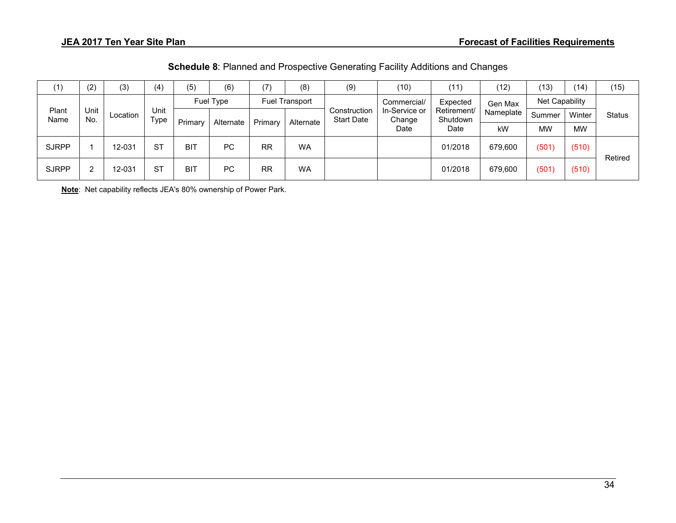| (1)           | (2)         | (3)      | (4)          | (5)        | (6)       | (7)                   | (8)       | (9) | (10)        | (11)     | (12)    | (13)                              | (14)      | (15)                    |                         |           |        |        |        |
|---------------|-------------|----------|--------------|------------|-----------|-----------------------|-----------|-----|-------------|----------|---------|-----------------------------------|-----------|-------------------------|-------------------------|-----------|--------|--------|--------|
|               |             |          |              | Fuel Type  |           | <b>Fuel Transport</b> |           |     | Commercial/ | Expected | Gen Max | Net Capability                    |           |                         |                         |           |        |        |        |
| Plant<br>Name | Unit<br>No. | Location | Unit<br>Type | Primary    | Alternate | Primary<br>Alternate  |           |     |             |          |         | Construction<br><b>Start Date</b> |           | In-Service or<br>Change | Retirement/<br>Shutdown | Nameplate | Summer | Winter | Status |
|               |             |          |              |            |           |                       |           |     | Date        | Date     | kW      | <b>MW</b>                         | <b>MW</b> |                         |                         |           |        |        |        |
| <b>SJRPP</b>  |             | 12-031   | <b>ST</b>    | <b>BIT</b> | PC        | <b>RR</b>             | <b>WA</b> |     |             | 01/2018  | 679,600 | (501)                             | (510)     | Retired                 |                         |           |        |        |        |
| <b>SJRPP</b>  | ົ           | 12-031   | <b>ST</b>    | <b>BIT</b> | PC        | <b>RR</b>             | <b>WA</b> |     |             | 01/2018  | 679,600 | (501)                             | (510)     |                         |                         |           |        |        |        |

**Note**: Net capability reflects JEA's 80% ownership of Power Park.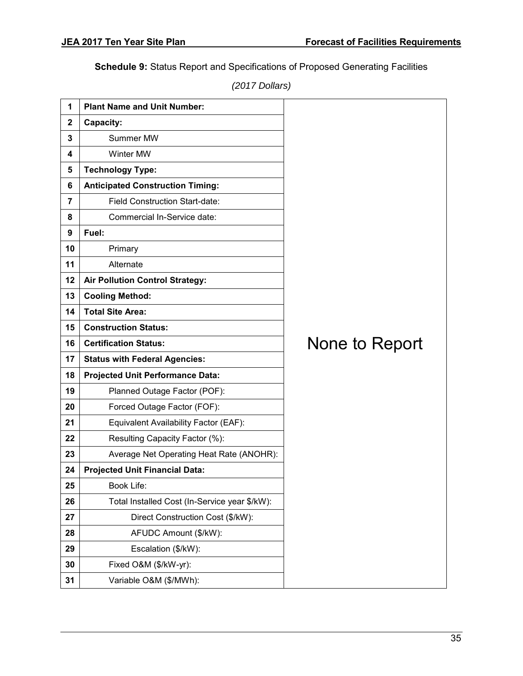**Schedule 9:** Status Report and Specifications of Proposed Generating Facilities

*(2017 Dollars)*

| 1           | <b>Plant Name and Unit Number:</b>            |                |  |  |  |  |  |  |
|-------------|-----------------------------------------------|----------------|--|--|--|--|--|--|
| $\mathbf 2$ | Capacity:                                     |                |  |  |  |  |  |  |
| 3           | Summer MW                                     |                |  |  |  |  |  |  |
| 4           | <b>Winter MW</b>                              |                |  |  |  |  |  |  |
| 5           | <b>Technology Type:</b>                       |                |  |  |  |  |  |  |
| 6           | <b>Anticipated Construction Timing:</b>       |                |  |  |  |  |  |  |
| 7           | <b>Field Construction Start-date:</b>         |                |  |  |  |  |  |  |
| 8           | Commercial In-Service date:                   |                |  |  |  |  |  |  |
| 9           | Fuel:                                         |                |  |  |  |  |  |  |
| 10          | Primary                                       |                |  |  |  |  |  |  |
| 11          | Alternate                                     |                |  |  |  |  |  |  |
| 12          | <b>Air Pollution Control Strategy:</b>        |                |  |  |  |  |  |  |
| 13          | <b>Cooling Method:</b>                        |                |  |  |  |  |  |  |
| 14          | <b>Total Site Area:</b>                       |                |  |  |  |  |  |  |
| 15          | <b>Construction Status:</b>                   |                |  |  |  |  |  |  |
| 16          | <b>Certification Status:</b>                  | None to Report |  |  |  |  |  |  |
| 17          | <b>Status with Federal Agencies:</b>          |                |  |  |  |  |  |  |
| 18          | <b>Projected Unit Performance Data:</b>       |                |  |  |  |  |  |  |
| 19          | Planned Outage Factor (POF):                  |                |  |  |  |  |  |  |
| 20          | Forced Outage Factor (FOF):                   |                |  |  |  |  |  |  |
| 21          | Equivalent Availability Factor (EAF):         |                |  |  |  |  |  |  |
| 22          | Resulting Capacity Factor (%):                |                |  |  |  |  |  |  |
| 23          | Average Net Operating Heat Rate (ANOHR):      |                |  |  |  |  |  |  |
| 24          | <b>Projected Unit Financial Data:</b>         |                |  |  |  |  |  |  |
| 25          | Book Life:                                    |                |  |  |  |  |  |  |
| 26          | Total Installed Cost (In-Service year \$/kW): |                |  |  |  |  |  |  |
| 27          | Direct Construction Cost (\$/kW):             |                |  |  |  |  |  |  |
| 28          | AFUDC Amount (\$/kW):                         |                |  |  |  |  |  |  |
| 29          | Escalation (\$/kW):                           |                |  |  |  |  |  |  |
| 30          | Fixed O&M (\$/kW-yr):                         |                |  |  |  |  |  |  |
| 31          | Variable O&M (\$/MWh):                        |                |  |  |  |  |  |  |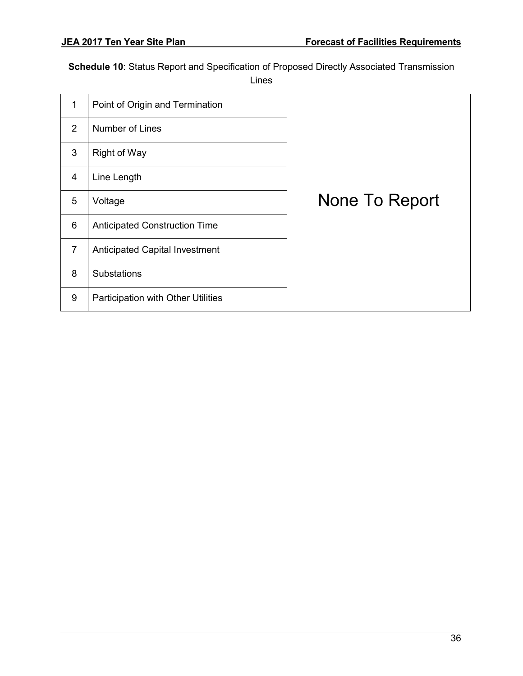**Schedule 10**: Status Report and Specification of Proposed Directly Associated Transmission

Lines

| 1              | Point of Origin and Termination       |                |
|----------------|---------------------------------------|----------------|
| 2              | Number of Lines                       |                |
| 3              | <b>Right of Way</b>                   |                |
| 4              | Line Length                           |                |
| 5              | Voltage                               | None To Report |
| 6              | <b>Anticipated Construction Time</b>  |                |
| $\overline{7}$ | <b>Anticipated Capital Investment</b> |                |
| 8              | <b>Substations</b>                    |                |
| 9              | Participation with Other Utilities    |                |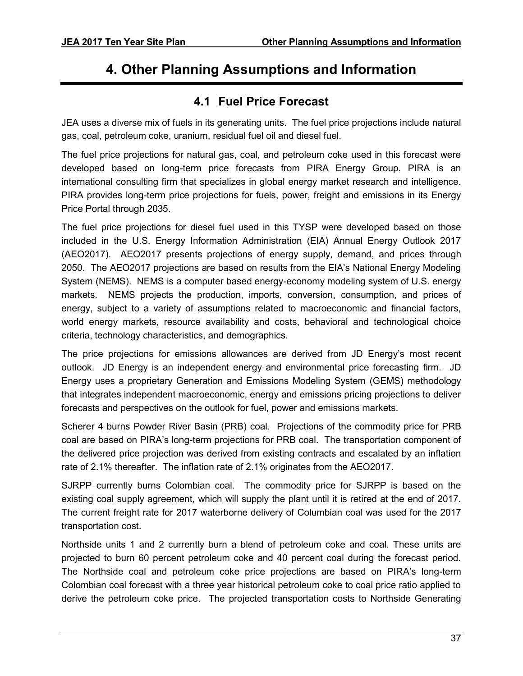# <span id="page-41-0"></span>**4. Other Planning Assumptions and Information**

### **4.1 Fuel Price Forecast**

<span id="page-41-1"></span>JEA uses a diverse mix of fuels in its generating units. The fuel price projections include natural gas, coal, petroleum coke, uranium, residual fuel oil and diesel fuel.

The fuel price projections for natural gas, coal, and petroleum coke used in this forecast were developed based on long-term price forecasts from PIRA Energy Group. PIRA is an international consulting firm that specializes in global energy market research and intelligence. PIRA provides long-term price projections for fuels, power, freight and emissions in its Energy Price Portal through 2035.

The fuel price projections for diesel fuel used in this TYSP were developed based on those included in the U.S. Energy Information Administration (EIA) Annual Energy Outlook 2017 (AEO2017). AEO2017 presents projections of energy supply, demand, and prices through 2050. The AEO2017 projections are based on results from the EIA's National Energy Modeling System (NEMS). NEMS is a computer based energy-economy modeling system of U.S. energy markets. NEMS projects the production, imports, conversion, consumption, and prices of energy, subject to a variety of assumptions related to macroeconomic and financial factors, world energy markets, resource availability and costs, behavioral and technological choice criteria, technology characteristics, and demographics.

The price projections for emissions allowances are derived from JD Energy's most recent outlook. JD Energy is an independent energy and environmental price forecasting firm. JD Energy uses a proprietary Generation and Emissions Modeling System (GEMS) methodology that integrates independent macroeconomic, energy and emissions pricing projections to deliver forecasts and perspectives on the outlook for fuel, power and emissions markets.

Scherer 4 burns Powder River Basin (PRB) coal. Projections of the commodity price for PRB coal are based on PIRA's long-term projections for PRB coal. The transportation component of the delivered price projection was derived from existing contracts and escalated by an inflation rate of 2.1% thereafter. The inflation rate of 2.1% originates from the AEO2017.

SJRPP currently burns Colombian coal. The commodity price for SJRPP is based on the existing coal supply agreement, which will supply the plant until it is retired at the end of 2017. The current freight rate for 2017 waterborne delivery of Columbian coal was used for the 2017 transportation cost.

Northside units 1 and 2 currently burn a blend of petroleum coke and coal. These units are projected to burn 60 percent petroleum coke and 40 percent coal during the forecast period. The Northside coal and petroleum coke price projections are based on PIRA's long-term Colombian coal forecast with a three year historical petroleum coke to coal price ratio applied to derive the petroleum coke price. The projected transportation costs to Northside Generating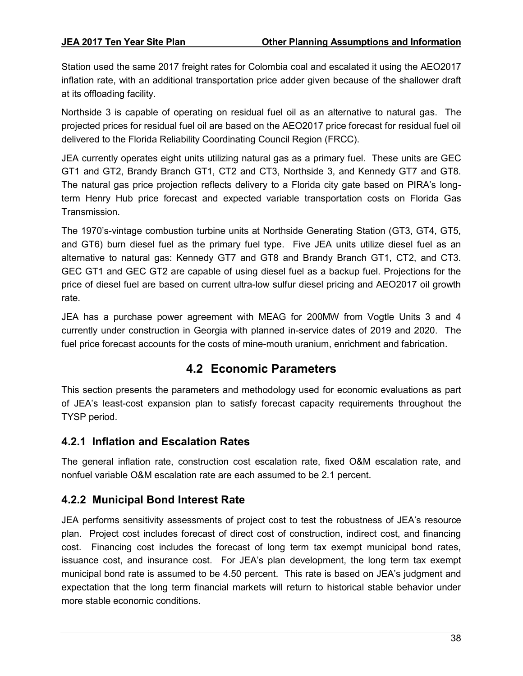Station used the same 2017 freight rates for Colombia coal and escalated it using the AEO2017 inflation rate, with an additional transportation price adder given because of the shallower draft at its offloading facility.

Northside 3 is capable of operating on residual fuel oil as an alternative to natural gas. The projected prices for residual fuel oil are based on the AEO2017 price forecast for residual fuel oil delivered to the Florida Reliability Coordinating Council Region (FRCC).

JEA currently operates eight units utilizing natural gas as a primary fuel. These units are GEC GT1 and GT2, Brandy Branch GT1, CT2 and CT3, Northside 3, and Kennedy GT7 and GT8. The natural gas price projection reflects delivery to a Florida city gate based on PIRA's longterm Henry Hub price forecast and expected variable transportation costs on Florida Gas Transmission.

The 1970's-vintage combustion turbine units at Northside Generating Station (GT3, GT4, GT5, and GT6) burn diesel fuel as the primary fuel type. Five JEA units utilize diesel fuel as an alternative to natural gas: Kennedy GT7 and GT8 and Brandy Branch GT1, CT2, and CT3. GEC GT1 and GEC GT2 are capable of using diesel fuel as a backup fuel. Projections for the price of diesel fuel are based on current ultra-low sulfur diesel pricing and AEO2017 oil growth rate.

JEA has a purchase power agreement with MEAG for 200MW from Vogtle Units 3 and 4 currently under construction in Georgia with planned in-service dates of 2019 and 2020. The fuel price forecast accounts for the costs of mine-mouth uranium, enrichment and fabrication.

### **4.2 Economic Parameters**

<span id="page-42-0"></span>This section presents the parameters and methodology used for economic evaluations as part of JEA's least-cost expansion plan to satisfy forecast capacity requirements throughout the TYSP period.

#### <span id="page-42-1"></span>**4.2.1 Inflation and Escalation Rates**

The general inflation rate, construction cost escalation rate, fixed O&M escalation rate, and nonfuel variable O&M escalation rate are each assumed to be 2.1 percent.

#### <span id="page-42-2"></span>**4.2.2 Municipal Bond Interest Rate**

JEA performs sensitivity assessments of project cost to test the robustness of JEA's resource plan. Project cost includes forecast of direct cost of construction, indirect cost, and financing cost. Financing cost includes the forecast of long term tax exempt municipal bond rates, issuance cost, and insurance cost. For JEA's plan development, the long term tax exempt municipal bond rate is assumed to be 4.50 percent. This rate is based on JEA's judgment and expectation that the long term financial markets will return to historical stable behavior under more stable economic conditions.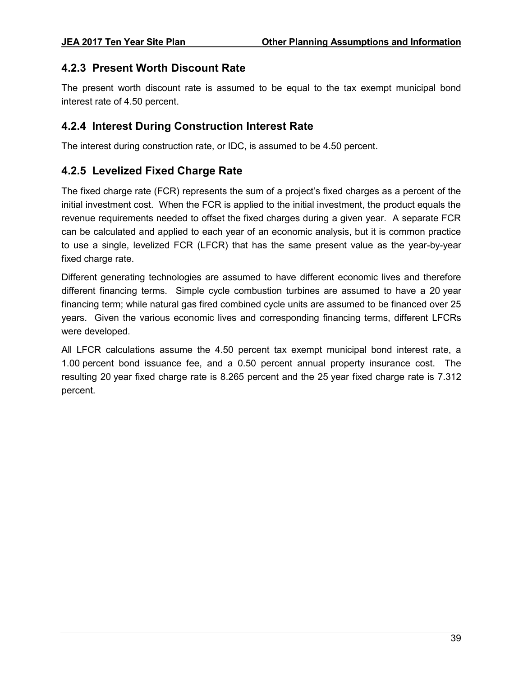#### <span id="page-43-0"></span>**4.2.3 Present Worth Discount Rate**

The present worth discount rate is assumed to be equal to the tax exempt municipal bond interest rate of 4.50 percent.

#### <span id="page-43-1"></span>**4.2.4 Interest During Construction Interest Rate**

The interest during construction rate, or IDC, is assumed to be 4.50 percent.

#### <span id="page-43-2"></span>**4.2.5 Levelized Fixed Charge Rate**

The fixed charge rate (FCR) represents the sum of a project's fixed charges as a percent of the initial investment cost. When the FCR is applied to the initial investment, the product equals the revenue requirements needed to offset the fixed charges during a given year. A separate FCR can be calculated and applied to each year of an economic analysis, but it is common practice to use a single, levelized FCR (LFCR) that has the same present value as the year-by-year fixed charge rate.

Different generating technologies are assumed to have different economic lives and therefore different financing terms. Simple cycle combustion turbines are assumed to have a 20 year financing term; while natural gas fired combined cycle units are assumed to be financed over 25 years. Given the various economic lives and corresponding financing terms, different LFCRs were developed.

All LFCR calculations assume the 4.50 percent tax exempt municipal bond interest rate, a 1.00 percent bond issuance fee, and a 0.50 percent annual property insurance cost. The resulting 20 year fixed charge rate is 8.265 percent and the 25 year fixed charge rate is 7.312 percent.